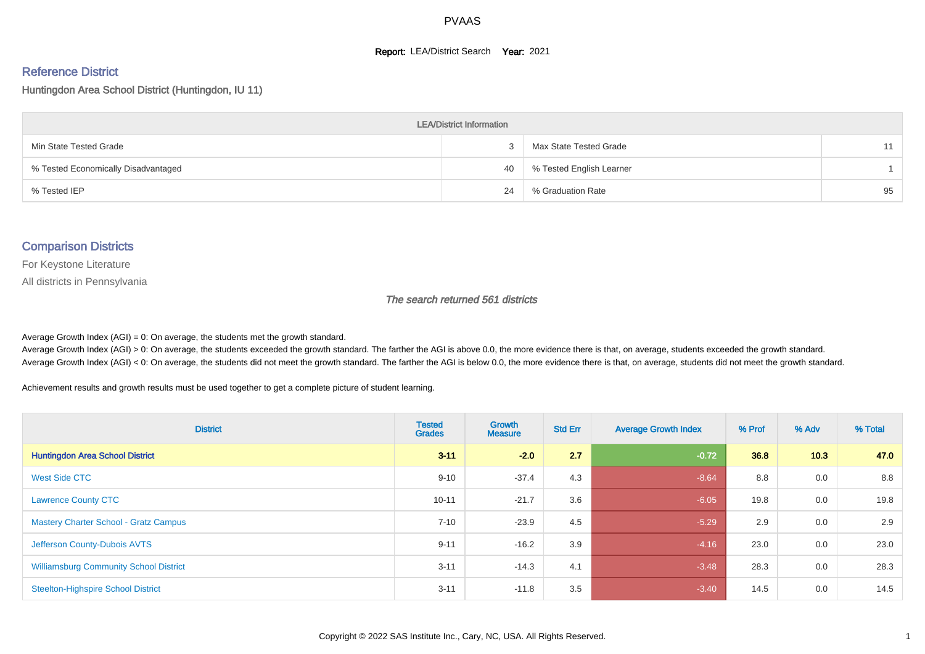#### **Report: LEA/District Search Year: 2021**

#### Reference District

Huntingdon Area School District (Huntingdon, IU 11)

| <b>LEA/District Information</b>     |    |                          |    |  |  |  |  |  |  |  |
|-------------------------------------|----|--------------------------|----|--|--|--|--|--|--|--|
| Min State Tested Grade              |    | Max State Tested Grade   | 11 |  |  |  |  |  |  |  |
| % Tested Economically Disadvantaged | 40 | % Tested English Learner |    |  |  |  |  |  |  |  |
| % Tested IEP                        | 24 | % Graduation Rate        | 95 |  |  |  |  |  |  |  |

#### Comparison Districts

For Keystone Literature

All districts in Pennsylvania

The search returned 561 districts

Average Growth Index  $(AGI) = 0$ : On average, the students met the growth standard.

Average Growth Index (AGI) > 0: On average, the students exceeded the growth standard. The farther the AGI is above 0.0, the more evidence there is that, on average, students exceeded the growth standard. Average Growth Index (AGI) < 0: On average, the students did not meet the growth standard. The farther the AGI is below 0.0, the more evidence there is that, on average, students did not meet the growth standard.

Achievement results and growth results must be used together to get a complete picture of student learning.

| <b>District</b>                               | <b>Tested</b><br><b>Grades</b> | Growth<br><b>Measure</b> | <b>Std Err</b> | <b>Average Growth Index</b> | % Prof | % Adv | % Total |
|-----------------------------------------------|--------------------------------|--------------------------|----------------|-----------------------------|--------|-------|---------|
| <b>Huntingdon Area School District</b>        | $3 - 11$                       | $-2.0$                   | 2.7            | $-0.72$                     | 36.8   | 10.3  | 47.0    |
| <b>West Side CTC</b>                          | $9 - 10$                       | $-37.4$                  | 4.3            | $-8.64$                     | 8.8    | 0.0   | 8.8     |
| <b>Lawrence County CTC</b>                    | $10 - 11$                      | $-21.7$                  | 3.6            | $-6.05$                     | 19.8   | 0.0   | 19.8    |
| <b>Mastery Charter School - Gratz Campus</b>  | $7 - 10$                       | $-23.9$                  | 4.5            | $-5.29$                     | 2.9    | 0.0   | 2.9     |
| Jefferson County-Dubois AVTS                  | $9 - 11$                       | $-16.2$                  | 3.9            | $-4.16$                     | 23.0   | 0.0   | 23.0    |
| <b>Williamsburg Community School District</b> | $3 - 11$                       | $-14.3$                  | 4.1            | $-3.48$                     | 28.3   | 0.0   | 28.3    |
| <b>Steelton-Highspire School District</b>     | $3 - 11$                       | $-11.8$                  | 3.5            | $-3.40$                     | 14.5   | 0.0   | 14.5    |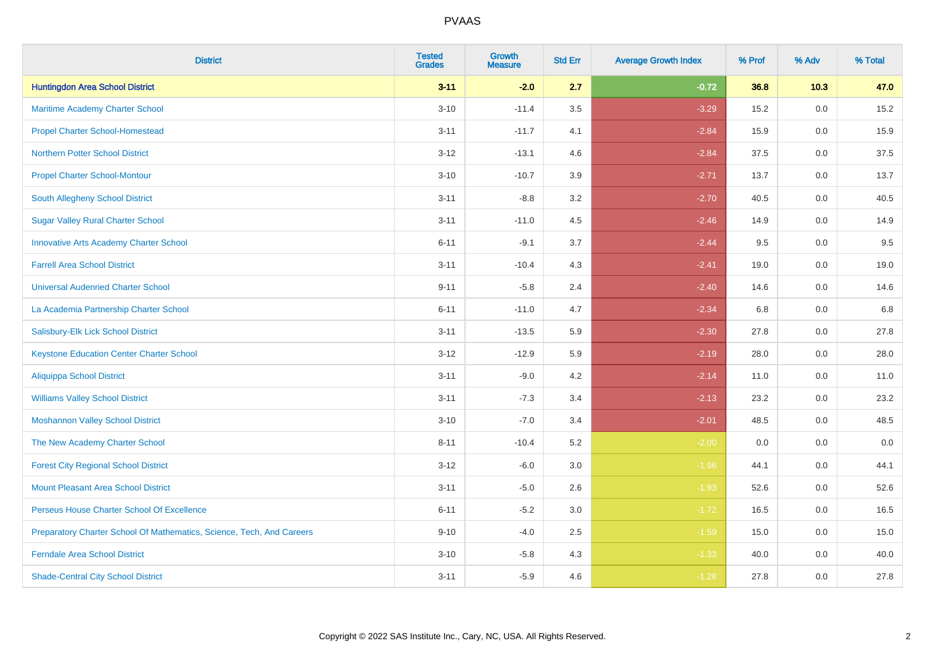| <b>District</b>                                                       | <b>Tested</b><br><b>Grades</b> | <b>Growth</b><br><b>Measure</b> | <b>Std Err</b> | <b>Average Growth Index</b> | % Prof | % Adv   | % Total |
|-----------------------------------------------------------------------|--------------------------------|---------------------------------|----------------|-----------------------------|--------|---------|---------|
| <b>Huntingdon Area School District</b>                                | $3 - 11$                       | $-2.0$                          | 2.7            | $-0.72$                     | 36.8   | 10.3    | 47.0    |
| Maritime Academy Charter School                                       | $3 - 10$                       | $-11.4$                         | $3.5\,$        | $-3.29$                     | 15.2   | 0.0     | 15.2    |
| <b>Propel Charter School-Homestead</b>                                | $3 - 11$                       | $-11.7$                         | 4.1            | $-2.84$                     | 15.9   | 0.0     | 15.9    |
| <b>Northern Potter School District</b>                                | $3 - 12$                       | $-13.1$                         | 4.6            | $-2.84$                     | 37.5   | 0.0     | 37.5    |
| <b>Propel Charter School-Montour</b>                                  | $3 - 10$                       | $-10.7$                         | 3.9            | $-2.71$                     | 13.7   | 0.0     | 13.7    |
| South Allegheny School District                                       | $3 - 11$                       | $-8.8$                          | 3.2            | $-2.70$                     | 40.5   | 0.0     | 40.5    |
| <b>Sugar Valley Rural Charter School</b>                              | $3 - 11$                       | $-11.0$                         | 4.5            | $-2.46$                     | 14.9   | 0.0     | 14.9    |
| <b>Innovative Arts Academy Charter School</b>                         | $6 - 11$                       | $-9.1$                          | 3.7            | $-2.44$                     | 9.5    | 0.0     | 9.5     |
| <b>Farrell Area School District</b>                                   | $3 - 11$                       | $-10.4$                         | 4.3            | $-2.41$                     | 19.0   | 0.0     | 19.0    |
| <b>Universal Audenried Charter School</b>                             | $9 - 11$                       | $-5.8$                          | 2.4            | $-2.40$                     | 14.6   | 0.0     | 14.6    |
| La Academia Partnership Charter School                                | $6 - 11$                       | $-11.0$                         | 4.7            | $-2.34$                     | 6.8    | 0.0     | 6.8     |
| Salisbury-Elk Lick School District                                    | $3 - 11$                       | $-13.5$                         | 5.9            | $-2.30$                     | 27.8   | 0.0     | 27.8    |
| <b>Keystone Education Center Charter School</b>                       | $3-12$                         | $-12.9$                         | 5.9            | $-2.19$                     | 28.0   | 0.0     | 28.0    |
| <b>Aliquippa School District</b>                                      | $3 - 11$                       | $-9.0$                          | 4.2            | $-2.14$                     | 11.0   | 0.0     | 11.0    |
| <b>Williams Valley School District</b>                                | $3 - 11$                       | $-7.3$                          | 3.4            | $-2.13$                     | 23.2   | 0.0     | 23.2    |
| <b>Moshannon Valley School District</b>                               | $3 - 10$                       | $-7.0$                          | 3.4            | $-2.01$                     | 48.5   | $0.0\,$ | 48.5    |
| The New Academy Charter School                                        | $8 - 11$                       | $-10.4$                         | 5.2            | $-2.00$                     | 0.0    | 0.0     | 0.0     |
| <b>Forest City Regional School District</b>                           | $3 - 12$                       | $-6.0$                          | 3.0            | $-1.96$                     | 44.1   | 0.0     | 44.1    |
| <b>Mount Pleasant Area School District</b>                            | $3 - 11$                       | $-5.0$                          | 2.6            | $-1.93$                     | 52.6   | 0.0     | 52.6    |
| Perseus House Charter School Of Excellence                            | $6 - 11$                       | $-5.2$                          | 3.0            | $-1.72$                     | 16.5   | 0.0     | 16.5    |
| Preparatory Charter School Of Mathematics, Science, Tech, And Careers | $9 - 10$                       | $-4.0$                          | 2.5            | $-1.59$                     | 15.0   | 0.0     | 15.0    |
| <b>Ferndale Area School District</b>                                  | $3 - 10$                       | $-5.8$                          | 4.3            | $-1.33$                     | 40.0   | 0.0     | 40.0    |
| <b>Shade-Central City School District</b>                             | $3 - 11$                       | $-5.9$                          | 4.6            | $-1.28$                     | 27.8   | 0.0     | 27.8    |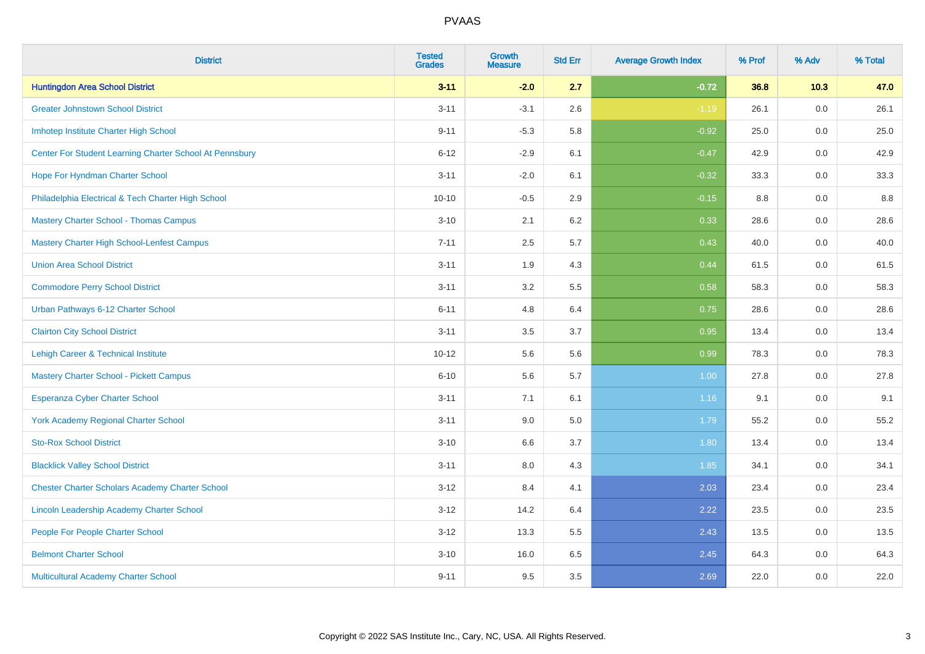| <b>District</b>                                         | <b>Tested</b><br><b>Grades</b> | <b>Growth</b><br><b>Measure</b> | <b>Std Err</b> | <b>Average Growth Index</b> | % Prof | % Adv   | % Total |
|---------------------------------------------------------|--------------------------------|---------------------------------|----------------|-----------------------------|--------|---------|---------|
| <b>Huntingdon Area School District</b>                  | $3 - 11$                       | $-2.0$                          | 2.7            | $-0.72$                     | 36.8   | 10.3    | 47.0    |
| <b>Greater Johnstown School District</b>                | $3 - 11$                       | $-3.1$                          | 2.6            | $-1.19$                     | 26.1   | 0.0     | 26.1    |
| Imhotep Institute Charter High School                   | $9 - 11$                       | $-5.3$                          | 5.8            | $-0.92$                     | 25.0   | 0.0     | 25.0    |
| Center For Student Learning Charter School At Pennsbury | $6 - 12$                       | $-2.9$                          | 6.1            | $-0.47$                     | 42.9   | 0.0     | 42.9    |
| Hope For Hyndman Charter School                         | $3 - 11$                       | $-2.0$                          | 6.1            | $-0.32$                     | 33.3   | 0.0     | 33.3    |
| Philadelphia Electrical & Tech Charter High School      | $10 - 10$                      | $-0.5$                          | 2.9            | $-0.15$                     | 8.8    | 0.0     | 8.8     |
| <b>Mastery Charter School - Thomas Campus</b>           | $3 - 10$                       | 2.1                             | 6.2            | 0.33                        | 28.6   | 0.0     | 28.6    |
| <b>Mastery Charter High School-Lenfest Campus</b>       | $7 - 11$                       | 2.5                             | 5.7            | 0.43                        | 40.0   | 0.0     | 40.0    |
| <b>Union Area School District</b>                       | $3 - 11$                       | 1.9                             | 4.3            | 0.44                        | 61.5   | 0.0     | 61.5    |
| <b>Commodore Perry School District</b>                  | $3 - 11$                       | 3.2                             | 5.5            | 0.58                        | 58.3   | 0.0     | 58.3    |
| Urban Pathways 6-12 Charter School                      | $6 - 11$                       | 4.8                             | 6.4            | 0.75                        | 28.6   | 0.0     | 28.6    |
| <b>Clairton City School District</b>                    | $3 - 11$                       | 3.5                             | 3.7            | 0.95                        | 13.4   | 0.0     | 13.4    |
| Lehigh Career & Technical Institute                     | $10 - 12$                      | 5.6                             | 5.6            | 0.99                        | 78.3   | 0.0     | 78.3    |
| <b>Mastery Charter School - Pickett Campus</b>          | $6 - 10$                       | 5.6                             | 5.7            | 1.00                        | 27.8   | 0.0     | 27.8    |
| <b>Esperanza Cyber Charter School</b>                   | $3 - 11$                       | 7.1                             | 6.1            | 1.16                        | 9.1    | 0.0     | 9.1     |
| <b>York Academy Regional Charter School</b>             | $3 - 11$                       | 9.0                             | 5.0            | 1.79                        | 55.2   | $0.0\,$ | 55.2    |
| <b>Sto-Rox School District</b>                          | $3 - 10$                       | 6.6                             | 3.7            | 1.80                        | 13.4   | 0.0     | 13.4    |
| <b>Blacklick Valley School District</b>                 | $3 - 11$                       | 8.0                             | 4.3            | 1.85                        | 34.1   | 0.0     | 34.1    |
| <b>Chester Charter Scholars Academy Charter School</b>  | $3 - 12$                       | 8.4                             | 4.1            | 2.03                        | 23.4   | 0.0     | 23.4    |
| Lincoln Leadership Academy Charter School               | $3 - 12$                       | 14.2                            | 6.4            | 2.22                        | 23.5   | 0.0     | 23.5    |
| People For People Charter School                        | $3 - 12$                       | 13.3                            | 5.5            | 2.43                        | 13.5   | 0.0     | 13.5    |
| <b>Belmont Charter School</b>                           | $3 - 10$                       | 16.0                            | 6.5            | 2.45                        | 64.3   | 0.0     | 64.3    |
| Multicultural Academy Charter School                    | $9 - 11$                       | 9.5                             | 3.5            | 2.69                        | 22.0   | 0.0     | 22.0    |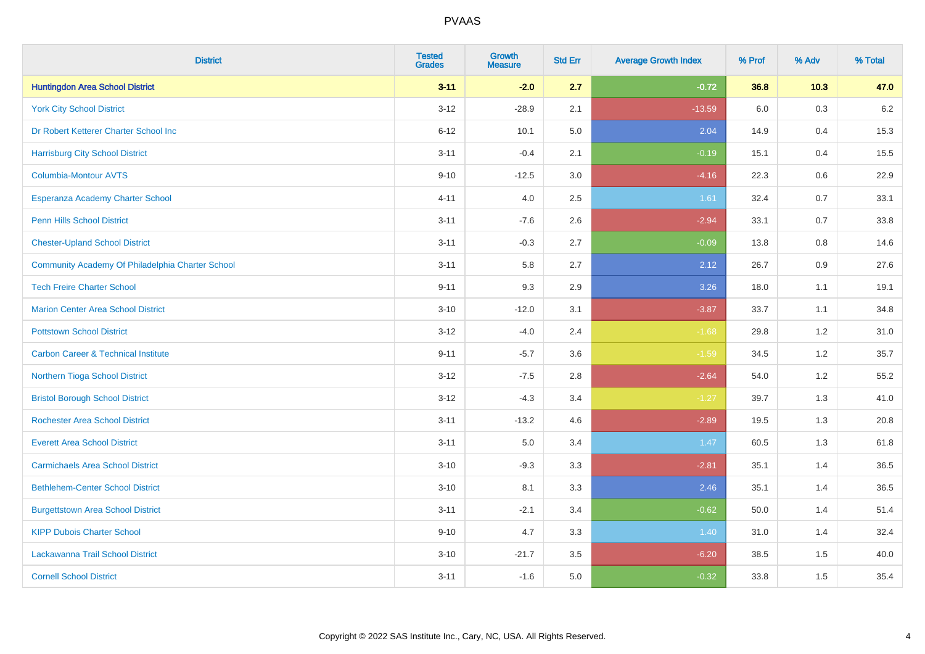| <b>District</b>                                  | <b>Tested</b><br><b>Grades</b> | <b>Growth</b><br><b>Measure</b> | <b>Std Err</b> | <b>Average Growth Index</b> | % Prof | % Adv | % Total |
|--------------------------------------------------|--------------------------------|---------------------------------|----------------|-----------------------------|--------|-------|---------|
| <b>Huntingdon Area School District</b>           | $3 - 11$                       | $-2.0$                          | 2.7            | $-0.72$                     | 36.8   | 10.3  | 47.0    |
| <b>York City School District</b>                 | $3 - 12$                       | $-28.9$                         | 2.1            | $-13.59$                    | 6.0    | 0.3   | $6.2\,$ |
| Dr Robert Ketterer Charter School Inc            | $6 - 12$                       | 10.1                            | 5.0            | 2.04                        | 14.9   | 0.4   | 15.3    |
| <b>Harrisburg City School District</b>           | $3 - 11$                       | $-0.4$                          | 2.1            | $-0.19$                     | 15.1   | 0.4   | 15.5    |
| <b>Columbia-Montour AVTS</b>                     | $9 - 10$                       | $-12.5$                         | 3.0            | $-4.16$                     | 22.3   | 0.6   | 22.9    |
| Esperanza Academy Charter School                 | $4 - 11$                       | 4.0                             | 2.5            | 1.61                        | 32.4   | 0.7   | 33.1    |
| Penn Hills School District                       | $3 - 11$                       | $-7.6$                          | 2.6            | $-2.94$                     | 33.1   | 0.7   | 33.8    |
| <b>Chester-Upland School District</b>            | $3 - 11$                       | $-0.3$                          | 2.7            | $-0.09$                     | 13.8   | 0.8   | 14.6    |
| Community Academy Of Philadelphia Charter School | $3 - 11$                       | 5.8                             | 2.7            | 2.12                        | 26.7   | 0.9   | 27.6    |
| <b>Tech Freire Charter School</b>                | $9 - 11$                       | 9.3                             | 2.9            | 3.26                        | 18.0   | 1.1   | 19.1    |
| <b>Marion Center Area School District</b>        | $3 - 10$                       | $-12.0$                         | 3.1            | $-3.87$                     | 33.7   | 1.1   | 34.8    |
| <b>Pottstown School District</b>                 | $3 - 12$                       | $-4.0$                          | 2.4            | $-1.68$                     | 29.8   | 1.2   | 31.0    |
| <b>Carbon Career &amp; Technical Institute</b>   | $9 - 11$                       | $-5.7$                          | 3.6            | $-1.59$                     | 34.5   | 1.2   | 35.7    |
| Northern Tioga School District                   | $3 - 12$                       | $-7.5$                          | 2.8            | $-2.64$                     | 54.0   | 1.2   | 55.2    |
| <b>Bristol Borough School District</b>           | $3 - 12$                       | $-4.3$                          | 3.4            | $-1.27$                     | 39.7   | 1.3   | 41.0    |
| <b>Rochester Area School District</b>            | $3 - 11$                       | $-13.2$                         | 4.6            | $-2.89$                     | 19.5   | 1.3   | 20.8    |
| <b>Everett Area School District</b>              | $3 - 11$                       | 5.0                             | 3.4            | 1.47                        | 60.5   | 1.3   | 61.8    |
| <b>Carmichaels Area School District</b>          | $3 - 10$                       | $-9.3$                          | 3.3            | $-2.81$                     | 35.1   | 1.4   | 36.5    |
| <b>Bethlehem-Center School District</b>          | $3 - 10$                       | 8.1                             | 3.3            | 2.46                        | 35.1   | 1.4   | 36.5    |
| <b>Burgettstown Area School District</b>         | $3 - 11$                       | $-2.1$                          | 3.4            | $-0.62$                     | 50.0   | 1.4   | 51.4    |
| <b>KIPP Dubois Charter School</b>                | $9 - 10$                       | 4.7                             | 3.3            | 1.40                        | 31.0   | 1.4   | 32.4    |
| Lackawanna Trail School District                 | $3 - 10$                       | $-21.7$                         | 3.5            | $-6.20$                     | 38.5   | 1.5   | 40.0    |
| <b>Cornell School District</b>                   | $3 - 11$                       | $-1.6$                          | 5.0            | $-0.32$                     | 33.8   | 1.5   | 35.4    |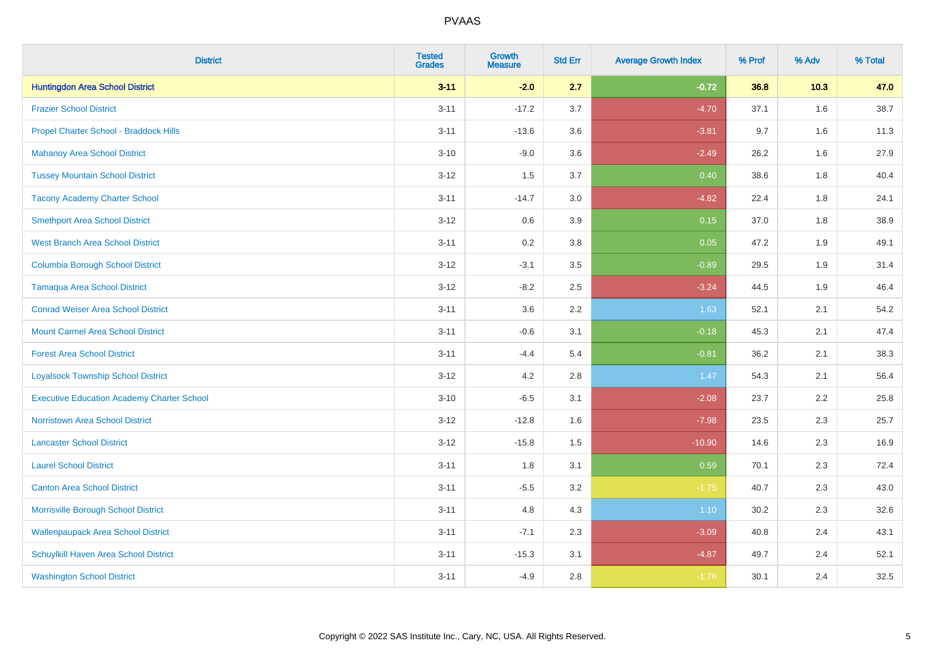| <b>District</b>                                   | <b>Tested</b><br><b>Grades</b> | <b>Growth</b><br><b>Measure</b> | <b>Std Err</b> | <b>Average Growth Index</b> | % Prof | % Adv | % Total |
|---------------------------------------------------|--------------------------------|---------------------------------|----------------|-----------------------------|--------|-------|---------|
| <b>Huntingdon Area School District</b>            | $3 - 11$                       | $-2.0$                          | 2.7            | $-0.72$                     | 36.8   | 10.3  | 47.0    |
| <b>Frazier School District</b>                    | $3 - 11$                       | $-17.2$                         | 3.7            | $-4.70$                     | 37.1   | 1.6   | 38.7    |
| Propel Charter School - Braddock Hills            | $3 - 11$                       | $-13.6$                         | 3.6            | $-3.81$                     | 9.7    | 1.6   | 11.3    |
| <b>Mahanoy Area School District</b>               | $3 - 10$                       | $-9.0$                          | 3.6            | $-2.49$                     | 26.2   | 1.6   | 27.9    |
| <b>Tussey Mountain School District</b>            | $3 - 12$                       | 1.5                             | 3.7            | 0.40                        | 38.6   | 1.8   | 40.4    |
| <b>Tacony Academy Charter School</b>              | $3 - 11$                       | $-14.7$                         | 3.0            | $-4.82$                     | 22.4   | 1.8   | 24.1    |
| <b>Smethport Area School District</b>             | $3 - 12$                       | 0.6                             | 3.9            | 0.15                        | 37.0   | 1.8   | 38.9    |
| <b>West Branch Area School District</b>           | $3 - 11$                       | 0.2                             | 3.8            | 0.05                        | 47.2   | 1.9   | 49.1    |
| <b>Columbia Borough School District</b>           | $3 - 12$                       | $-3.1$                          | 3.5            | $-0.89$                     | 29.5   | 1.9   | 31.4    |
| <b>Tamaqua Area School District</b>               | $3 - 12$                       | $-8.2$                          | 2.5            | $-3.24$                     | 44.5   | 1.9   | 46.4    |
| <b>Conrad Weiser Area School District</b>         | $3 - 11$                       | 3.6                             | 2.2            | 1.63                        | 52.1   | 2.1   | 54.2    |
| <b>Mount Carmel Area School District</b>          | $3 - 11$                       | $-0.6$                          | 3.1            | $-0.18$                     | 45.3   | 2.1   | 47.4    |
| <b>Forest Area School District</b>                | $3 - 11$                       | $-4.4$                          | 5.4            | $-0.81$                     | 36.2   | 2.1   | 38.3    |
| <b>Loyalsock Township School District</b>         | $3 - 12$                       | 4.2                             | 2.8            | 1.47                        | 54.3   | 2.1   | 56.4    |
| <b>Executive Education Academy Charter School</b> | $3 - 10$                       | $-6.5$                          | 3.1            | $-2.08$                     | 23.7   | 2.2   | 25.8    |
| <b>Norristown Area School District</b>            | $3 - 12$                       | $-12.8$                         | 1.6            | $-7.98$                     | 23.5   | 2.3   | 25.7    |
| <b>Lancaster School District</b>                  | $3 - 12$                       | $-15.8$                         | 1.5            | $-10.90$                    | 14.6   | 2.3   | 16.9    |
| <b>Laurel School District</b>                     | $3 - 11$                       | 1.8                             | 3.1            | 0.59                        | 70.1   | 2.3   | 72.4    |
| <b>Canton Area School District</b>                | $3 - 11$                       | $-5.5$                          | 3.2            | $-1.75$                     | 40.7   | 2.3   | 43.0    |
| Morrisville Borough School District               | $3 - 11$                       | 4.8                             | 4.3            | 1.10                        | 30.2   | 2.3   | 32.6    |
| <b>Wallenpaupack Area School District</b>         | $3 - 11$                       | $-7.1$                          | 2.3            | $-3.09$                     | 40.8   | 2.4   | 43.1    |
| Schuylkill Haven Area School District             | $3 - 11$                       | $-15.3$                         | 3.1            | $-4.87$                     | 49.7   | 2.4   | 52.1    |
| <b>Washington School District</b>                 | $3 - 11$                       | $-4.9$                          | 2.8            | $-1.76$                     | 30.1   | 2.4   | 32.5    |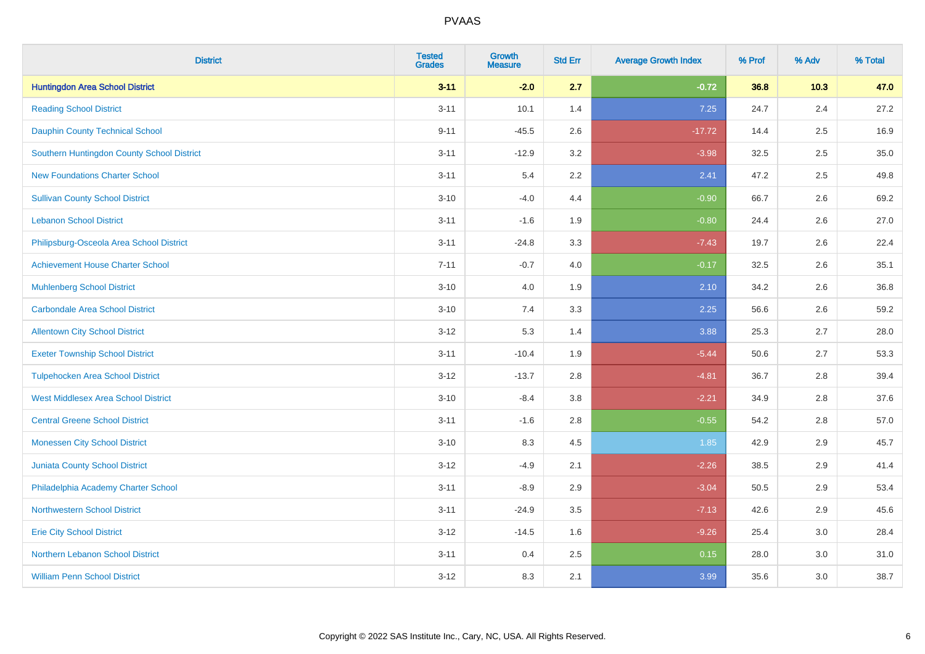| <b>District</b>                            | <b>Tested</b><br><b>Grades</b> | <b>Growth</b><br><b>Measure</b> | <b>Std Err</b> | <b>Average Growth Index</b> | % Prof | % Adv | % Total |
|--------------------------------------------|--------------------------------|---------------------------------|----------------|-----------------------------|--------|-------|---------|
| <b>Huntingdon Area School District</b>     | $3 - 11$                       | $-2.0$                          | 2.7            | $-0.72$                     | 36.8   | 10.3  | 47.0    |
| <b>Reading School District</b>             | $3 - 11$                       | 10.1                            | 1.4            | 7.25                        | 24.7   | 2.4   | 27.2    |
| <b>Dauphin County Technical School</b>     | $9 - 11$                       | $-45.5$                         | 2.6            | $-17.72$                    | 14.4   | 2.5   | 16.9    |
| Southern Huntingdon County School District | $3 - 11$                       | $-12.9$                         | 3.2            | $-3.98$                     | 32.5   | 2.5   | 35.0    |
| <b>New Foundations Charter School</b>      | $3 - 11$                       | 5.4                             | 2.2            | 2.41                        | 47.2   | 2.5   | 49.8    |
| <b>Sullivan County School District</b>     | $3 - 10$                       | $-4.0$                          | 4.4            | $-0.90$                     | 66.7   | 2.6   | 69.2    |
| <b>Lebanon School District</b>             | $3 - 11$                       | $-1.6$                          | 1.9            | $-0.80$                     | 24.4   | 2.6   | 27.0    |
| Philipsburg-Osceola Area School District   | $3 - 11$                       | $-24.8$                         | 3.3            | $-7.43$                     | 19.7   | 2.6   | 22.4    |
| <b>Achievement House Charter School</b>    | $7 - 11$                       | $-0.7$                          | 4.0            | $-0.17$                     | 32.5   | 2.6   | 35.1    |
| <b>Muhlenberg School District</b>          | $3 - 10$                       | 4.0                             | 1.9            | 2.10                        | 34.2   | 2.6   | 36.8    |
| <b>Carbondale Area School District</b>     | $3 - 10$                       | 7.4                             | 3.3            | 2.25                        | 56.6   | 2.6   | 59.2    |
| <b>Allentown City School District</b>      | $3 - 12$                       | 5.3                             | 1.4            | 3.88                        | 25.3   | 2.7   | 28.0    |
| <b>Exeter Township School District</b>     | $3 - 11$                       | $-10.4$                         | 1.9            | $-5.44$                     | 50.6   | 2.7   | 53.3    |
| <b>Tulpehocken Area School District</b>    | $3 - 12$                       | $-13.7$                         | 2.8            | $-4.81$                     | 36.7   | 2.8   | 39.4    |
| <b>West Middlesex Area School District</b> | $3 - 10$                       | $-8.4$                          | 3.8            | $-2.21$                     | 34.9   | 2.8   | 37.6    |
| <b>Central Greene School District</b>      | $3 - 11$                       | $-1.6$                          | 2.8            | $-0.55$                     | 54.2   | 2.8   | 57.0    |
| <b>Monessen City School District</b>       | $3 - 10$                       | 8.3                             | 4.5            | 1.85                        | 42.9   | 2.9   | 45.7    |
| Juniata County School District             | $3 - 12$                       | $-4.9$                          | 2.1            | $-2.26$                     | 38.5   | 2.9   | 41.4    |
| Philadelphia Academy Charter School        | $3 - 11$                       | $-8.9$                          | 2.9            | $-3.04$                     | 50.5   | 2.9   | 53.4    |
| <b>Northwestern School District</b>        | $3 - 11$                       | $-24.9$                         | 3.5            | $-7.13$                     | 42.6   | 2.9   | 45.6    |
| <b>Erie City School District</b>           | $3 - 12$                       | $-14.5$                         | 1.6            | $-9.26$                     | 25.4   | 3.0   | 28.4    |
| Northern Lebanon School District           | $3 - 11$                       | 0.4                             | 2.5            | 0.15                        | 28.0   | 3.0   | 31.0    |
| <b>William Penn School District</b>        | $3 - 12$                       | 8.3                             | 2.1            | 3.99                        | 35.6   | 3.0   | 38.7    |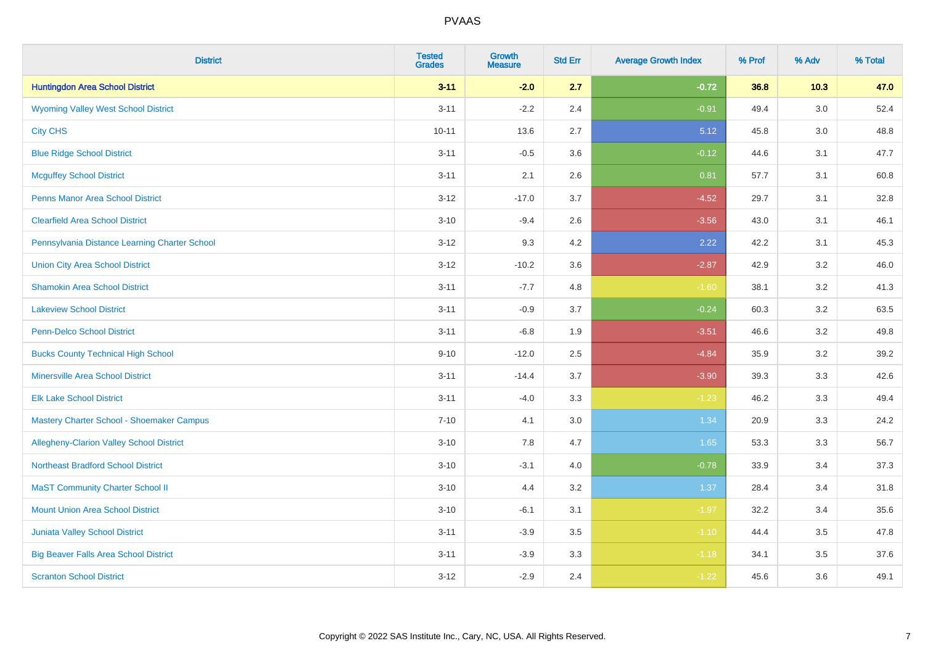| <b>District</b>                                 | <b>Tested</b><br><b>Grades</b> | <b>Growth</b><br><b>Measure</b> | <b>Std Err</b> | <b>Average Growth Index</b> | % Prof | % Adv   | % Total |
|-------------------------------------------------|--------------------------------|---------------------------------|----------------|-----------------------------|--------|---------|---------|
| <b>Huntingdon Area School District</b>          | $3 - 11$                       | $-2.0$                          | 2.7            | $-0.72$                     | 36.8   | $10.3$  | 47.0    |
| <b>Wyoming Valley West School District</b>      | $3 - 11$                       | $-2.2$                          | 2.4            | $-0.91$                     | 49.4   | $3.0\,$ | 52.4    |
| <b>City CHS</b>                                 | $10 - 11$                      | 13.6                            | 2.7            | 5.12                        | 45.8   | 3.0     | 48.8    |
| <b>Blue Ridge School District</b>               | $3 - 11$                       | $-0.5$                          | 3.6            | $-0.12$                     | 44.6   | 3.1     | 47.7    |
| <b>Mcguffey School District</b>                 | $3 - 11$                       | 2.1                             | 2.6            | 0.81                        | 57.7   | 3.1     | 60.8    |
| <b>Penns Manor Area School District</b>         | $3 - 12$                       | $-17.0$                         | 3.7            | $-4.52$                     | 29.7   | 3.1     | 32.8    |
| <b>Clearfield Area School District</b>          | $3 - 10$                       | $-9.4$                          | 2.6            | $-3.56$                     | 43.0   | 3.1     | 46.1    |
| Pennsylvania Distance Learning Charter School   | $3 - 12$                       | 9.3                             | 4.2            | 2.22                        | 42.2   | 3.1     | 45.3    |
| <b>Union City Area School District</b>          | $3 - 12$                       | $-10.2$                         | 3.6            | $-2.87$                     | 42.9   | 3.2     | 46.0    |
| <b>Shamokin Area School District</b>            | $3 - 11$                       | $-7.7$                          | 4.8            | $-1.60$                     | 38.1   | 3.2     | 41.3    |
| <b>Lakeview School District</b>                 | $3 - 11$                       | $-0.9$                          | 3.7            | $-0.24$                     | 60.3   | 3.2     | 63.5    |
| <b>Penn-Delco School District</b>               | $3 - 11$                       | $-6.8$                          | 1.9            | $-3.51$                     | 46.6   | 3.2     | 49.8    |
| <b>Bucks County Technical High School</b>       | $9 - 10$                       | $-12.0$                         | 2.5            | $-4.84$                     | 35.9   | 3.2     | 39.2    |
| <b>Minersville Area School District</b>         | $3 - 11$                       | $-14.4$                         | 3.7            | $-3.90$                     | 39.3   | 3.3     | 42.6    |
| <b>Elk Lake School District</b>                 | $3 - 11$                       | $-4.0$                          | 3.3            | $-1.23$                     | 46.2   | 3.3     | 49.4    |
| Mastery Charter School - Shoemaker Campus       | $7 - 10$                       | 4.1                             | 3.0            | 1.34                        | 20.9   | 3.3     | 24.2    |
| <b>Allegheny-Clarion Valley School District</b> | $3 - 10$                       | 7.8                             | 4.7            | 1.65                        | 53.3   | 3.3     | 56.7    |
| <b>Northeast Bradford School District</b>       | $3 - 10$                       | $-3.1$                          | 4.0            | $-0.78$                     | 33.9   | 3.4     | 37.3    |
| <b>MaST Community Charter School II</b>         | $3 - 10$                       | 4.4                             | 3.2            | 1.37                        | 28.4   | 3.4     | 31.8    |
| <b>Mount Union Area School District</b>         | $3 - 10$                       | $-6.1$                          | 3.1            | $-1.97$                     | 32.2   | 3.4     | 35.6    |
| <b>Juniata Valley School District</b>           | $3 - 11$                       | $-3.9$                          | 3.5            | $-1.10$                     | 44.4   | 3.5     | 47.8    |
| <b>Big Beaver Falls Area School District</b>    | $3 - 11$                       | $-3.9$                          | 3.3            | $-1.18$                     | 34.1   | 3.5     | 37.6    |
| <b>Scranton School District</b>                 | $3 - 12$                       | $-2.9$                          | 2.4            | $-1.22$                     | 45.6   | 3.6     | 49.1    |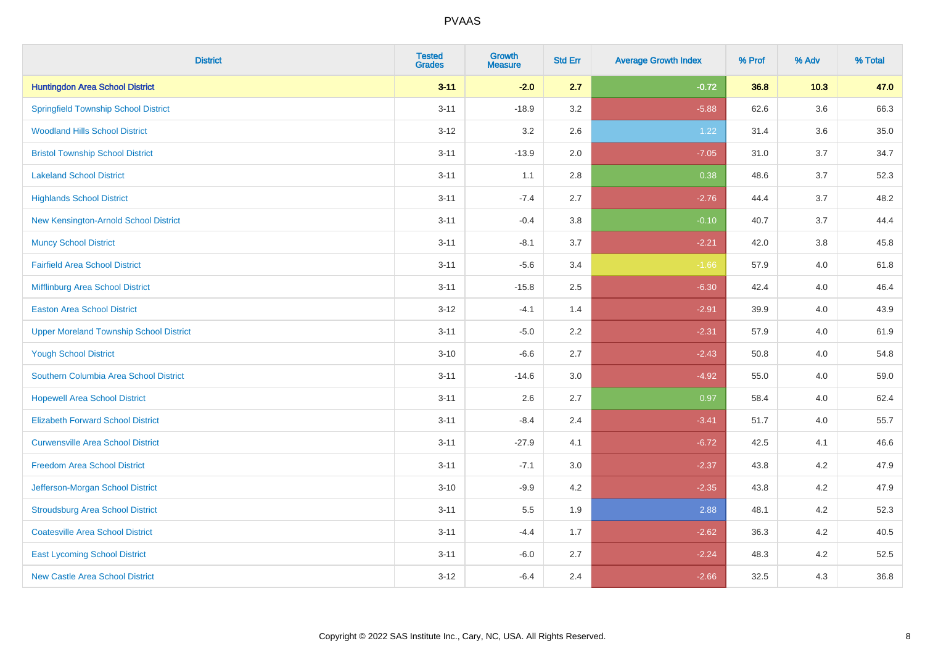| <b>District</b>                                | <b>Tested</b><br><b>Grades</b> | <b>Growth</b><br><b>Measure</b> | <b>Std Err</b> | <b>Average Growth Index</b> | % Prof | % Adv   | % Total |
|------------------------------------------------|--------------------------------|---------------------------------|----------------|-----------------------------|--------|---------|---------|
| <b>Huntingdon Area School District</b>         | $3 - 11$                       | $-2.0$                          | 2.7            | $-0.72$                     | 36.8   | 10.3    | 47.0    |
| <b>Springfield Township School District</b>    | $3 - 11$                       | $-18.9$                         | 3.2            | $-5.88$                     | 62.6   | $3.6\,$ | 66.3    |
| <b>Woodland Hills School District</b>          | $3 - 12$                       | 3.2                             | 2.6            | 1.22                        | 31.4   | 3.6     | 35.0    |
| <b>Bristol Township School District</b>        | $3 - 11$                       | $-13.9$                         | 2.0            | $-7.05$                     | 31.0   | 3.7     | 34.7    |
| <b>Lakeland School District</b>                | $3 - 11$                       | 1.1                             | 2.8            | 0.38                        | 48.6   | 3.7     | 52.3    |
| <b>Highlands School District</b>               | $3 - 11$                       | $-7.4$                          | 2.7            | $-2.76$                     | 44.4   | 3.7     | 48.2    |
| New Kensington-Arnold School District          | $3 - 11$                       | $-0.4$                          | 3.8            | $-0.10$                     | 40.7   | 3.7     | 44.4    |
| <b>Muncy School District</b>                   | $3 - 11$                       | $-8.1$                          | 3.7            | $-2.21$                     | 42.0   | 3.8     | 45.8    |
| <b>Fairfield Area School District</b>          | $3 - 11$                       | $-5.6$                          | 3.4            | $-1.66$                     | 57.9   | 4.0     | 61.8    |
| Mifflinburg Area School District               | $3 - 11$                       | $-15.8$                         | 2.5            | $-6.30$                     | 42.4   | 4.0     | 46.4    |
| <b>Easton Area School District</b>             | $3 - 12$                       | $-4.1$                          | 1.4            | $-2.91$                     | 39.9   | 4.0     | 43.9    |
| <b>Upper Moreland Township School District</b> | $3 - 11$                       | $-5.0$                          | 2.2            | $-2.31$                     | 57.9   | 4.0     | 61.9    |
| <b>Yough School District</b>                   | $3 - 10$                       | $-6.6$                          | 2.7            | $-2.43$                     | 50.8   | 4.0     | 54.8    |
| Southern Columbia Area School District         | $3 - 11$                       | $-14.6$                         | 3.0            | $-4.92$                     | 55.0   | 4.0     | 59.0    |
| <b>Hopewell Area School District</b>           | $3 - 11$                       | 2.6                             | 2.7            | 0.97                        | 58.4   | 4.0     | 62.4    |
| <b>Elizabeth Forward School District</b>       | $3 - 11$                       | $-8.4$                          | 2.4            | $-3.41$                     | 51.7   | 4.0     | 55.7    |
| <b>Curwensville Area School District</b>       | $3 - 11$                       | $-27.9$                         | 4.1            | $-6.72$                     | 42.5   | 4.1     | 46.6    |
| <b>Freedom Area School District</b>            | $3 - 11$                       | $-7.1$                          | 3.0            | $-2.37$                     | 43.8   | 4.2     | 47.9    |
| Jefferson-Morgan School District               | $3 - 10$                       | $-9.9$                          | 4.2            | $-2.35$                     | 43.8   | 4.2     | 47.9    |
| <b>Stroudsburg Area School District</b>        | $3 - 11$                       | $5.5\,$                         | 1.9            | 2.88                        | 48.1   | 4.2     | 52.3    |
| <b>Coatesville Area School District</b>        | $3 - 11$                       | $-4.4$                          | 1.7            | $-2.62$                     | 36.3   | 4.2     | 40.5    |
| <b>East Lycoming School District</b>           | $3 - 11$                       | $-6.0$                          | 2.7            | $-2.24$                     | 48.3   | 4.2     | 52.5    |
| <b>New Castle Area School District</b>         | $3 - 12$                       | $-6.4$                          | 2.4            | $-2.66$                     | 32.5   | 4.3     | 36.8    |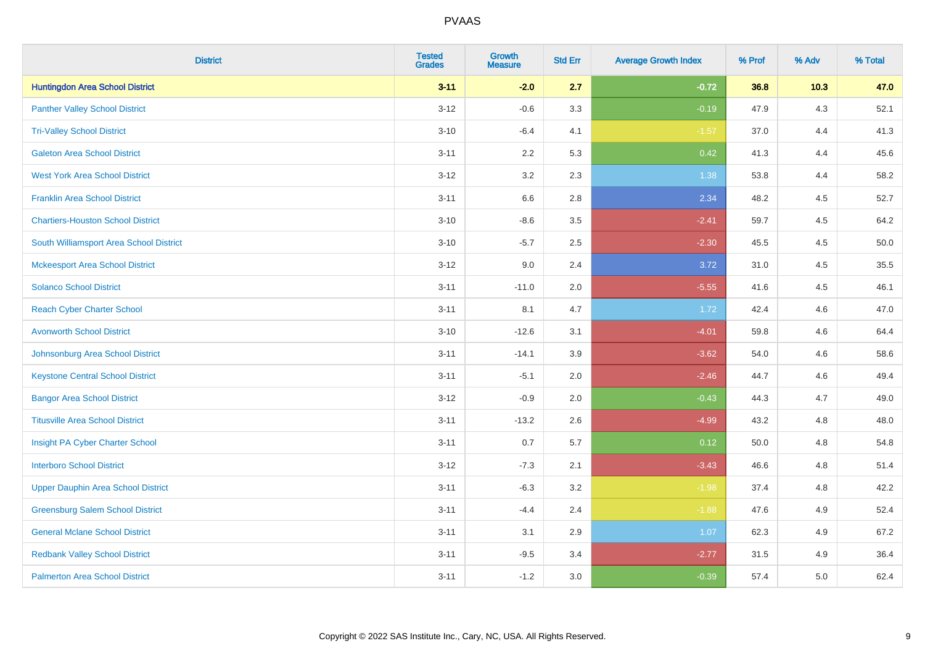| <b>District</b>                           | <b>Tested</b><br><b>Grades</b> | <b>Growth</b><br><b>Measure</b> | <b>Std Err</b> | <b>Average Growth Index</b> | % Prof | % Adv | % Total |
|-------------------------------------------|--------------------------------|---------------------------------|----------------|-----------------------------|--------|-------|---------|
| <b>Huntingdon Area School District</b>    | $3 - 11$                       | $-2.0$                          | 2.7            | $-0.72$                     | 36.8   | 10.3  | 47.0    |
| <b>Panther Valley School District</b>     | $3 - 12$                       | $-0.6$                          | 3.3            | $-0.19$                     | 47.9   | 4.3   | 52.1    |
| <b>Tri-Valley School District</b>         | $3 - 10$                       | $-6.4$                          | 4.1            | $-1.57$                     | 37.0   | 4.4   | 41.3    |
| <b>Galeton Area School District</b>       | $3 - 11$                       | 2.2                             | 5.3            | 0.42                        | 41.3   | 4.4   | 45.6    |
| <b>West York Area School District</b>     | $3 - 12$                       | 3.2                             | 2.3            | 1.38                        | 53.8   | 4.4   | 58.2    |
| <b>Franklin Area School District</b>      | $3 - 11$                       | 6.6                             | 2.8            | 2.34                        | 48.2   | 4.5   | 52.7    |
| <b>Chartiers-Houston School District</b>  | $3 - 10$                       | $-8.6$                          | 3.5            | $-2.41$                     | 59.7   | 4.5   | 64.2    |
| South Williamsport Area School District   | $3 - 10$                       | $-5.7$                          | 2.5            | $-2.30$                     | 45.5   | 4.5   | 50.0    |
| <b>Mckeesport Area School District</b>    | $3 - 12$                       | 9.0                             | 2.4            | 3.72                        | 31.0   | 4.5   | 35.5    |
| <b>Solanco School District</b>            | $3 - 11$                       | $-11.0$                         | 2.0            | $-5.55$                     | 41.6   | 4.5   | 46.1    |
| <b>Reach Cyber Charter School</b>         | $3 - 11$                       | 8.1                             | 4.7            | 1.72                        | 42.4   | 4.6   | 47.0    |
| <b>Avonworth School District</b>          | $3 - 10$                       | $-12.6$                         | 3.1            | $-4.01$                     | 59.8   | 4.6   | 64.4    |
| Johnsonburg Area School District          | $3 - 11$                       | $-14.1$                         | 3.9            | $-3.62$                     | 54.0   | 4.6   | 58.6    |
| <b>Keystone Central School District</b>   | $3 - 11$                       | $-5.1$                          | 2.0            | $-2.46$                     | 44.7   | 4.6   | 49.4    |
| <b>Bangor Area School District</b>        | $3 - 12$                       | $-0.9$                          | 2.0            | $-0.43$                     | 44.3   | 4.7   | 49.0    |
| <b>Titusville Area School District</b>    | $3 - 11$                       | $-13.2$                         | 2.6            | $-4.99$                     | 43.2   | 4.8   | 48.0    |
| Insight PA Cyber Charter School           | $3 - 11$                       | 0.7                             | 5.7            | 0.12                        | 50.0   | 4.8   | 54.8    |
| <b>Interboro School District</b>          | $3 - 12$                       | $-7.3$                          | 2.1            | $-3.43$                     | 46.6   | 4.8   | 51.4    |
| <b>Upper Dauphin Area School District</b> | $3 - 11$                       | $-6.3$                          | 3.2            | $-1.98$                     | 37.4   | 4.8   | 42.2    |
| <b>Greensburg Salem School District</b>   | $3 - 11$                       | $-4.4$                          | 2.4            | $-1.88$                     | 47.6   | 4.9   | 52.4    |
| <b>General Mclane School District</b>     | $3 - 11$                       | 3.1                             | 2.9            | 1.07                        | 62.3   | 4.9   | 67.2    |
| <b>Redbank Valley School District</b>     | $3 - 11$                       | $-9.5$                          | 3.4            | $-2.77$                     | 31.5   | 4.9   | 36.4    |
| <b>Palmerton Area School District</b>     | $3 - 11$                       | $-1.2$                          | 3.0            | $-0.39$                     | 57.4   | 5.0   | 62.4    |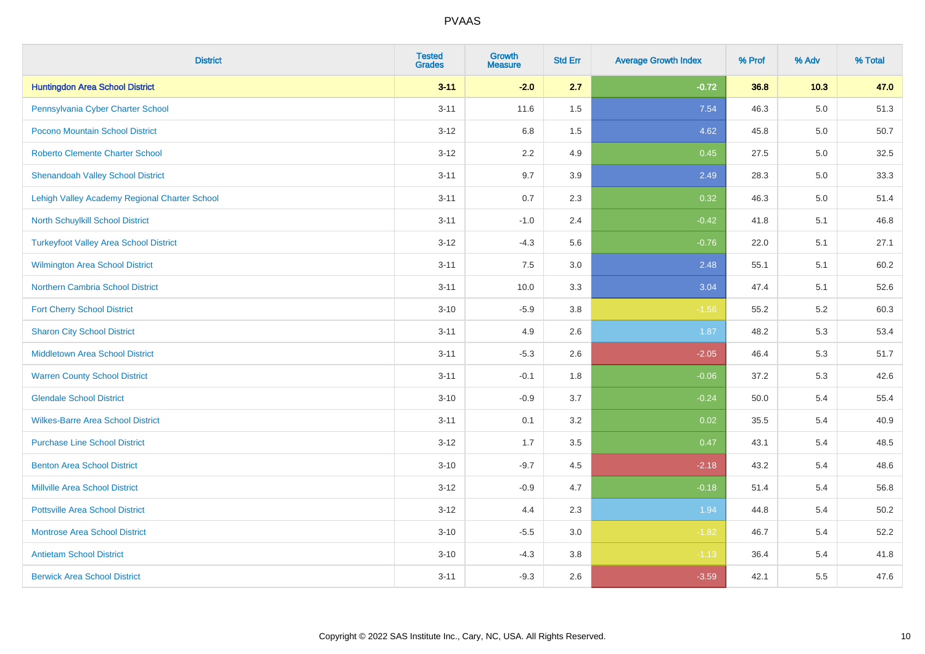| <b>District</b>                               | <b>Tested</b><br><b>Grades</b> | <b>Growth</b><br><b>Measure</b> | <b>Std Err</b> | <b>Average Growth Index</b> | % Prof | % Adv   | % Total |
|-----------------------------------------------|--------------------------------|---------------------------------|----------------|-----------------------------|--------|---------|---------|
| <b>Huntingdon Area School District</b>        | $3 - 11$                       | $-2.0$                          | 2.7            | $-0.72$                     | 36.8   | 10.3    | 47.0    |
| Pennsylvania Cyber Charter School             | $3 - 11$                       | 11.6                            | 1.5            | 7.54                        | 46.3   | $5.0\,$ | 51.3    |
| Pocono Mountain School District               | $3 - 12$                       | 6.8                             | 1.5            | 4.62                        | 45.8   | 5.0     | 50.7    |
| <b>Roberto Clemente Charter School</b>        | $3 - 12$                       | 2.2                             | 4.9            | 0.45                        | 27.5   | 5.0     | 32.5    |
| <b>Shenandoah Valley School District</b>      | $3 - 11$                       | 9.7                             | 3.9            | 2.49                        | 28.3   | 5.0     | 33.3    |
| Lehigh Valley Academy Regional Charter School | $3 - 11$                       | 0.7                             | 2.3            | 0.32                        | 46.3   | 5.0     | 51.4    |
| North Schuylkill School District              | $3 - 11$                       | $-1.0$                          | 2.4            | $-0.42$                     | 41.8   | 5.1     | 46.8    |
| <b>Turkeyfoot Valley Area School District</b> | $3 - 12$                       | $-4.3$                          | 5.6            | $-0.76$                     | 22.0   | 5.1     | 27.1    |
| Wilmington Area School District               | $3 - 11$                       | 7.5                             | 3.0            | 2.48                        | 55.1   | 5.1     | 60.2    |
| Northern Cambria School District              | $3 - 11$                       | 10.0                            | 3.3            | 3.04                        | 47.4   | 5.1     | 52.6    |
| <b>Fort Cherry School District</b>            | $3 - 10$                       | $-5.9$                          | 3.8            | $-1.56$                     | 55.2   | 5.2     | 60.3    |
| <b>Sharon City School District</b>            | $3 - 11$                       | 4.9                             | 2.6            | 1.87                        | 48.2   | 5.3     | 53.4    |
| Middletown Area School District               | $3 - 11$                       | $-5.3$                          | 2.6            | $-2.05$                     | 46.4   | 5.3     | 51.7    |
| <b>Warren County School District</b>          | $3 - 11$                       | $-0.1$                          | 1.8            | $-0.06$                     | 37.2   | 5.3     | 42.6    |
| <b>Glendale School District</b>               | $3 - 10$                       | $-0.9$                          | 3.7            | $-0.24$                     | 50.0   | 5.4     | 55.4    |
| <b>Wilkes-Barre Area School District</b>      | $3 - 11$                       | 0.1                             | 3.2            | 0.02                        | 35.5   | 5.4     | 40.9    |
| <b>Purchase Line School District</b>          | $3 - 12$                       | 1.7                             | 3.5            | 0.47                        | 43.1   | 5.4     | 48.5    |
| <b>Benton Area School District</b>            | $3 - 10$                       | $-9.7$                          | 4.5            | $-2.18$                     | 43.2   | 5.4     | 48.6    |
| <b>Millville Area School District</b>         | $3 - 12$                       | $-0.9$                          | 4.7            | $-0.18$                     | 51.4   | 5.4     | 56.8    |
| <b>Pottsville Area School District</b>        | $3 - 12$                       | 4.4                             | 2.3            | 1.94                        | 44.8   | 5.4     | 50.2    |
| <b>Montrose Area School District</b>          | $3 - 10$                       | $-5.5$                          | 3.0            | $-1.82$                     | 46.7   | 5.4     | 52.2    |
| <b>Antietam School District</b>               | $3 - 10$                       | $-4.3$                          | 3.8            | $-1.13$                     | 36.4   | 5.4     | 41.8    |
| <b>Berwick Area School District</b>           | $3 - 11$                       | $-9.3$                          | 2.6            | $-3.59$                     | 42.1   | 5.5     | 47.6    |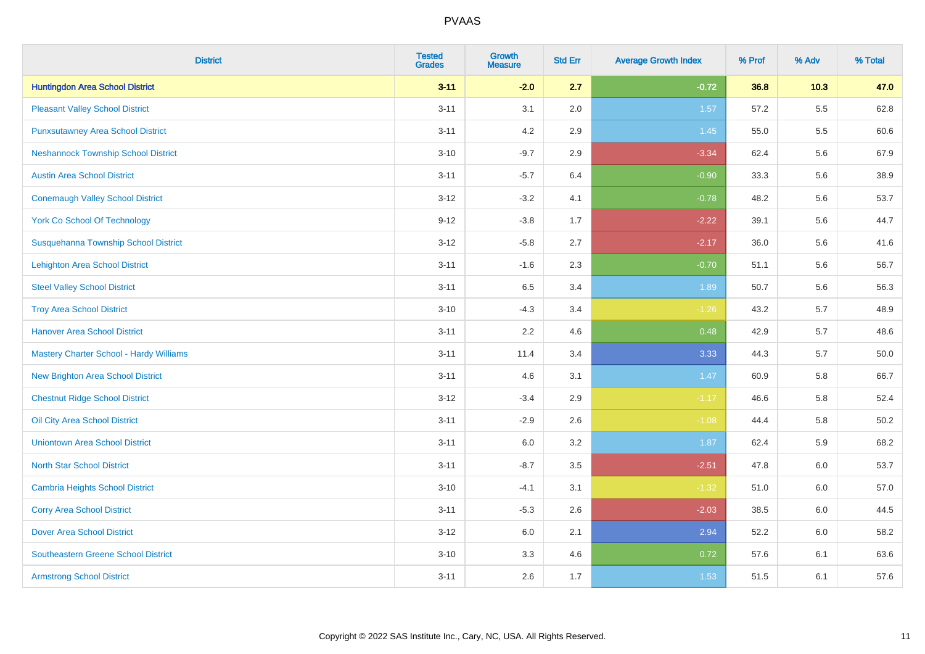| <b>District</b>                            | <b>Tested</b><br><b>Grades</b> | <b>Growth</b><br><b>Measure</b> | <b>Std Err</b> | <b>Average Growth Index</b> | % Prof | % Adv   | % Total |
|--------------------------------------------|--------------------------------|---------------------------------|----------------|-----------------------------|--------|---------|---------|
| <b>Huntingdon Area School District</b>     | $3 - 11$                       | $-2.0$                          | 2.7            | $-0.72$                     | 36.8   | 10.3    | 47.0    |
| <b>Pleasant Valley School District</b>     | $3 - 11$                       | 3.1                             | 2.0            | 1.57                        | 57.2   | $5.5\,$ | 62.8    |
| <b>Punxsutawney Area School District</b>   | $3 - 11$                       | 4.2                             | 2.9            | 1.45                        | 55.0   | 5.5     | 60.6    |
| <b>Neshannock Township School District</b> | $3 - 10$                       | $-9.7$                          | 2.9            | $-3.34$                     | 62.4   | 5.6     | 67.9    |
| <b>Austin Area School District</b>         | $3 - 11$                       | $-5.7$                          | 6.4            | $-0.90$                     | 33.3   | 5.6     | 38.9    |
| <b>Conemaugh Valley School District</b>    | $3 - 12$                       | $-3.2$                          | 4.1            | $-0.78$                     | 48.2   | 5.6     | 53.7    |
| <b>York Co School Of Technology</b>        | $9 - 12$                       | $-3.8$                          | 1.7            | $-2.22$                     | 39.1   | 5.6     | 44.7    |
| Susquehanna Township School District       | $3 - 12$                       | $-5.8$                          | 2.7            | $-2.17$                     | 36.0   | 5.6     | 41.6    |
| <b>Lehighton Area School District</b>      | $3 - 11$                       | $-1.6$                          | 2.3            | $-0.70$                     | 51.1   | 5.6     | 56.7    |
| <b>Steel Valley School District</b>        | $3 - 11$                       | 6.5                             | 3.4            | 1.89                        | 50.7   | 5.6     | 56.3    |
| <b>Troy Area School District</b>           | $3 - 10$                       | $-4.3$                          | 3.4            | $-1.26$                     | 43.2   | 5.7     | 48.9    |
| <b>Hanover Area School District</b>        | $3 - 11$                       | 2.2                             | 4.6            | 0.48                        | 42.9   | 5.7     | 48.6    |
| Mastery Charter School - Hardy Williams    | $3 - 11$                       | 11.4                            | 3.4            | 3.33                        | 44.3   | 5.7     | 50.0    |
| New Brighton Area School District          | $3 - 11$                       | 4.6                             | 3.1            | 1.47                        | 60.9   | 5.8     | 66.7    |
| <b>Chestnut Ridge School District</b>      | $3 - 12$                       | $-3.4$                          | 2.9            | $-1.17$                     | 46.6   | 5.8     | 52.4    |
| Oil City Area School District              | $3 - 11$                       | $-2.9$                          | 2.6            | $-1.08$                     | 44.4   | 5.8     | 50.2    |
| <b>Uniontown Area School District</b>      | $3 - 11$                       | 6.0                             | 3.2            | 1.87                        | 62.4   | 5.9     | 68.2    |
| <b>North Star School District</b>          | $3 - 11$                       | $-8.7$                          | 3.5            | $-2.51$                     | 47.8   | 6.0     | 53.7    |
| <b>Cambria Heights School District</b>     | $3 - 10$                       | $-4.1$                          | 3.1            | $-1.32$                     | 51.0   | 6.0     | 57.0    |
| <b>Corry Area School District</b>          | $3 - 11$                       | $-5.3$                          | 2.6            | $-2.03$                     | 38.5   | 6.0     | 44.5    |
| <b>Dover Area School District</b>          | $3 - 12$                       | 6.0                             | 2.1            | 2.94                        | 52.2   | 6.0     | 58.2    |
| <b>Southeastern Greene School District</b> | $3 - 10$                       | 3.3                             | 4.6            | 0.72                        | 57.6   | 6.1     | 63.6    |
| <b>Armstrong School District</b>           | $3 - 11$                       | 2.6                             | 1.7            | 1.53                        | 51.5   | 6.1     | 57.6    |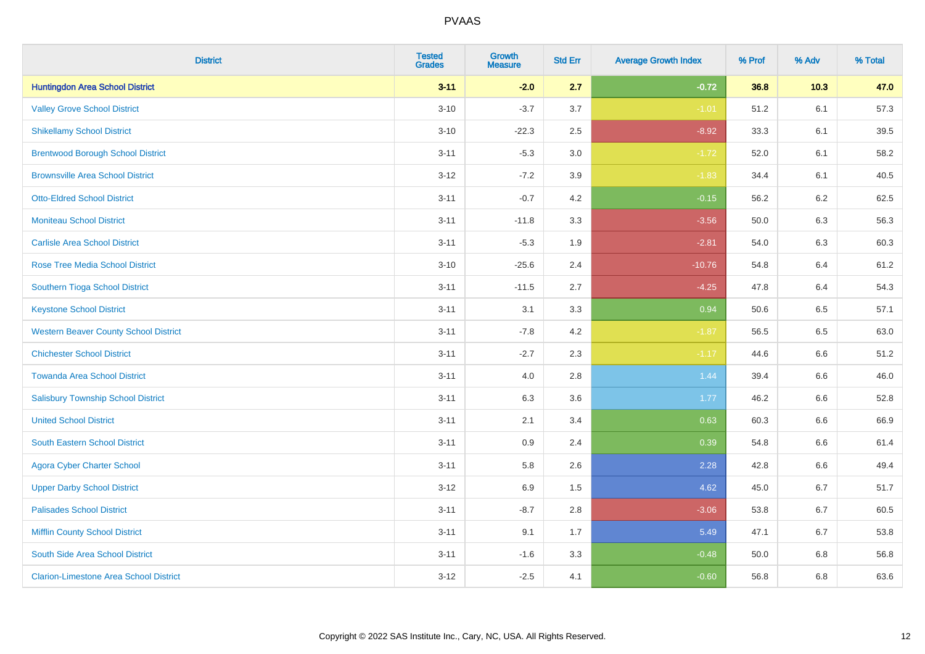| <b>District</b>                               | <b>Tested</b><br><b>Grades</b> | <b>Growth</b><br><b>Measure</b> | <b>Std Err</b> | <b>Average Growth Index</b> | % Prof | % Adv | % Total |
|-----------------------------------------------|--------------------------------|---------------------------------|----------------|-----------------------------|--------|-------|---------|
| <b>Huntingdon Area School District</b>        | $3 - 11$                       | $-2.0$                          | 2.7            | $-0.72$                     | 36.8   | 10.3  | 47.0    |
| <b>Valley Grove School District</b>           | $3 - 10$                       | $-3.7$                          | 3.7            | $-1.01$                     | 51.2   | 6.1   | 57.3    |
| <b>Shikellamy School District</b>             | $3 - 10$                       | $-22.3$                         | 2.5            | $-8.92$                     | 33.3   | 6.1   | 39.5    |
| <b>Brentwood Borough School District</b>      | $3 - 11$                       | $-5.3$                          | $3.0\,$        | $-1.72$                     | 52.0   | 6.1   | 58.2    |
| <b>Brownsville Area School District</b>       | $3-12$                         | $-7.2$                          | 3.9            | $-1.83$                     | 34.4   | 6.1   | 40.5    |
| <b>Otto-Eldred School District</b>            | $3 - 11$                       | $-0.7$                          | 4.2            | $-0.15$                     | 56.2   | 6.2   | 62.5    |
| <b>Moniteau School District</b>               | $3 - 11$                       | $-11.8$                         | 3.3            | $-3.56$                     | 50.0   | 6.3   | 56.3    |
| <b>Carlisle Area School District</b>          | $3 - 11$                       | $-5.3$                          | 1.9            | $-2.81$                     | 54.0   | 6.3   | 60.3    |
| <b>Rose Tree Media School District</b>        | $3 - 10$                       | $-25.6$                         | 2.4            | $-10.76$                    | 54.8   | 6.4   | 61.2    |
| Southern Tioga School District                | $3 - 11$                       | $-11.5$                         | 2.7            | $-4.25$                     | 47.8   | 6.4   | 54.3    |
| <b>Keystone School District</b>               | $3 - 11$                       | 3.1                             | 3.3            | 0.94                        | 50.6   | 6.5   | 57.1    |
| <b>Western Beaver County School District</b>  | $3 - 11$                       | $-7.8$                          | 4.2            | $-1.87$                     | 56.5   | 6.5   | 63.0    |
| <b>Chichester School District</b>             | $3 - 11$                       | $-2.7$                          | 2.3            | $-1.17$                     | 44.6   | 6.6   | 51.2    |
| <b>Towanda Area School District</b>           | $3 - 11$                       | 4.0                             | $2.8\,$        | 1.44                        | 39.4   | 6.6   | 46.0    |
| <b>Salisbury Township School District</b>     | $3 - 11$                       | 6.3                             | 3.6            | 1.77                        | 46.2   | 6.6   | 52.8    |
| <b>United School District</b>                 | $3 - 11$                       | 2.1                             | 3.4            | 0.63                        | 60.3   | 6.6   | 66.9    |
| <b>South Eastern School District</b>          | $3 - 11$                       | 0.9                             | 2.4            | 0.39                        | 54.8   | 6.6   | 61.4    |
| <b>Agora Cyber Charter School</b>             | $3 - 11$                       | 5.8                             | 2.6            | 2.28                        | 42.8   | 6.6   | 49.4    |
| <b>Upper Darby School District</b>            | $3 - 12$                       | 6.9                             | 1.5            | 4.62                        | 45.0   | 6.7   | 51.7    |
| <b>Palisades School District</b>              | $3 - 11$                       | $-8.7$                          | 2.8            | $-3.06$                     | 53.8   | 6.7   | 60.5    |
| <b>Mifflin County School District</b>         | $3 - 11$                       | 9.1                             | 1.7            | 5.49                        | 47.1   | 6.7   | 53.8    |
| South Side Area School District               | $3 - 11$                       | $-1.6$                          | 3.3            | $-0.48$                     | 50.0   | 6.8   | 56.8    |
| <b>Clarion-Limestone Area School District</b> | $3 - 12$                       | $-2.5$                          | 4.1            | $-0.60$                     | 56.8   | 6.8   | 63.6    |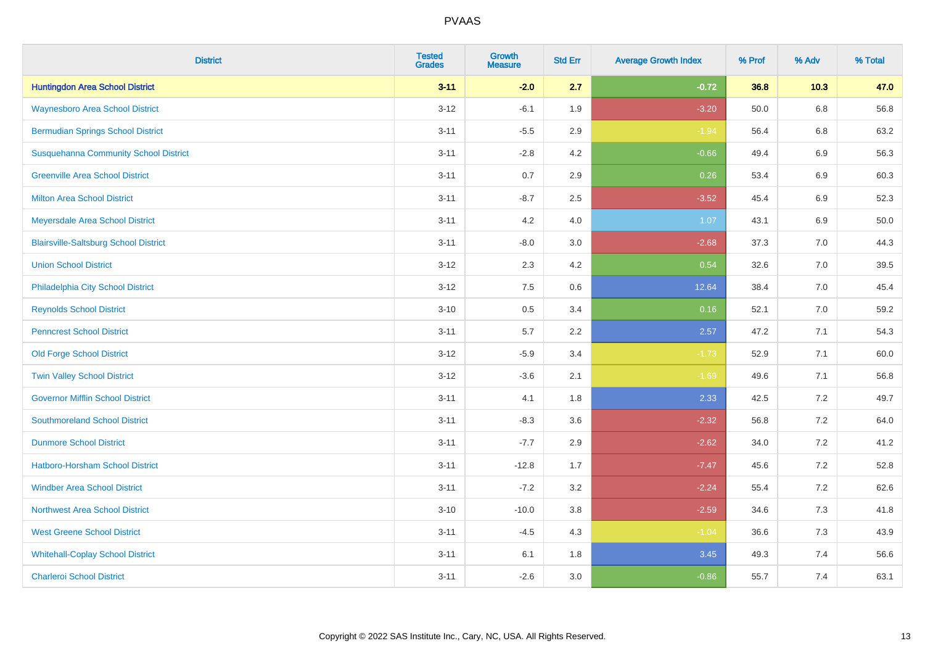| <b>District</b>                              | <b>Tested</b><br><b>Grades</b> | <b>Growth</b><br><b>Measure</b> | <b>Std Err</b> | <b>Average Growth Index</b> | % Prof | % Adv   | % Total |
|----------------------------------------------|--------------------------------|---------------------------------|----------------|-----------------------------|--------|---------|---------|
| <b>Huntingdon Area School District</b>       | $3 - 11$                       | $-2.0$                          | 2.7            | $-0.72$                     | 36.8   | 10.3    | 47.0    |
| <b>Waynesboro Area School District</b>       | $3 - 12$                       | $-6.1$                          | 1.9            | $-3.20$                     | 50.0   | $6.8\,$ | 56.8    |
| <b>Bermudian Springs School District</b>     | $3 - 11$                       | $-5.5$                          | 2.9            | $-1.94$                     | 56.4   | 6.8     | 63.2    |
| <b>Susquehanna Community School District</b> | $3 - 11$                       | $-2.8$                          | 4.2            | $-0.66$                     | 49.4   | $6.9\,$ | 56.3    |
| <b>Greenville Area School District</b>       | $3 - 11$                       | 0.7                             | 2.9            | 0.26                        | 53.4   | 6.9     | 60.3    |
| <b>Milton Area School District</b>           | $3 - 11$                       | $-8.7$                          | 2.5            | $-3.52$                     | 45.4   | $6.9\,$ | 52.3    |
| Meyersdale Area School District              | $3 - 11$                       | 4.2                             | 4.0            | 1.07                        | 43.1   | 6.9     | 50.0    |
| <b>Blairsville-Saltsburg School District</b> | $3 - 11$                       | $-8.0$                          | 3.0            | $-2.68$                     | 37.3   | 7.0     | 44.3    |
| <b>Union School District</b>                 | $3 - 12$                       | 2.3                             | 4.2            | 0.54                        | 32.6   | 7.0     | 39.5    |
| Philadelphia City School District            | $3 - 12$                       | 7.5                             | 0.6            | 12.64                       | 38.4   | 7.0     | 45.4    |
| <b>Reynolds School District</b>              | $3 - 10$                       | 0.5                             | 3.4            | 0.16                        | 52.1   | 7.0     | 59.2    |
| <b>Penncrest School District</b>             | $3 - 11$                       | 5.7                             | 2.2            | 2.57                        | 47.2   | 7.1     | 54.3    |
| <b>Old Forge School District</b>             | $3 - 12$                       | $-5.9$                          | 3.4            | $-1.73$                     | 52.9   | 7.1     | 60.0    |
| <b>Twin Valley School District</b>           | $3 - 12$                       | $-3.6$                          | 2.1            | $-1.69$                     | 49.6   | 7.1     | 56.8    |
| <b>Governor Mifflin School District</b>      | $3 - 11$                       | 4.1                             | 1.8            | 2.33                        | 42.5   | 7.2     | 49.7    |
| <b>Southmoreland School District</b>         | $3 - 11$                       | $-8.3$                          | 3.6            | $-2.32$                     | 56.8   | 7.2     | 64.0    |
| <b>Dunmore School District</b>               | $3 - 11$                       | $-7.7$                          | 2.9            | $-2.62$                     | 34.0   | 7.2     | 41.2    |
| <b>Hatboro-Horsham School District</b>       | $3 - 11$                       | $-12.8$                         | 1.7            | $-7.47$                     | 45.6   | 7.2     | 52.8    |
| <b>Windber Area School District</b>          | $3 - 11$                       | $-7.2$                          | 3.2            | $-2.24$                     | 55.4   | 7.2     | 62.6    |
| <b>Northwest Area School District</b>        | $3 - 10$                       | $-10.0$                         | 3.8            | $-2.59$                     | 34.6   | 7.3     | 41.8    |
| <b>West Greene School District</b>           | $3 - 11$                       | $-4.5$                          | 4.3            | $-1.04$                     | 36.6   | 7.3     | 43.9    |
| <b>Whitehall-Coplay School District</b>      | $3 - 11$                       | 6.1                             | 1.8            | 3.45                        | 49.3   | 7.4     | 56.6    |
| <b>Charleroi School District</b>             | $3 - 11$                       | $-2.6$                          | 3.0            | $-0.86$                     | 55.7   | 7.4     | 63.1    |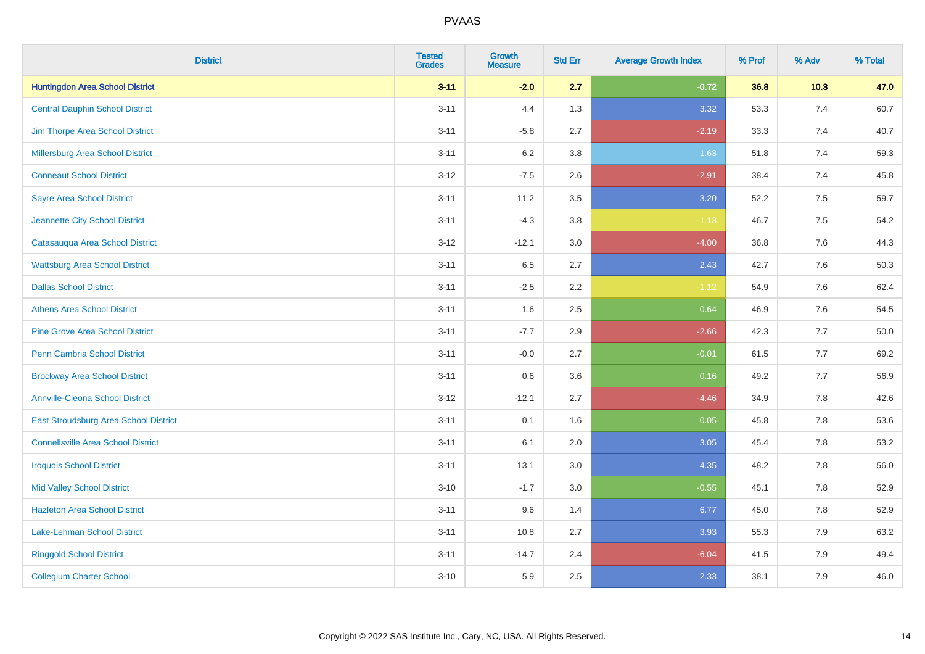| <b>District</b>                           | <b>Tested</b><br>Grades | Growth<br><b>Measure</b> | <b>Std Err</b> | <b>Average Growth Index</b> | % Prof | % Adv   | % Total |
|-------------------------------------------|-------------------------|--------------------------|----------------|-----------------------------|--------|---------|---------|
| <b>Huntingdon Area School District</b>    | $3 - 11$                | $-2.0$                   | 2.7            | $-0.72$                     | 36.8   | 10.3    | 47.0    |
| <b>Central Dauphin School District</b>    | $3 - 11$                | 4.4                      | 1.3            | 3.32                        | 53.3   | 7.4     | 60.7    |
| Jim Thorpe Area School District           | $3 - 11$                | $-5.8$                   | 2.7            | $-2.19$                     | 33.3   | 7.4     | 40.7    |
| Millersburg Area School District          | $3 - 11$                | 6.2                      | 3.8            | 1.63                        | 51.8   | 7.4     | 59.3    |
| <b>Conneaut School District</b>           | $3-12$                  | $-7.5$                   | 2.6            | $-2.91$                     | 38.4   | 7.4     | 45.8    |
| <b>Sayre Area School District</b>         | $3 - 11$                | 11.2                     | 3.5            | 3.20                        | 52.2   | $7.5\,$ | 59.7    |
| Jeannette City School District            | $3 - 11$                | $-4.3$                   | 3.8            | $-1.13$                     | 46.7   | 7.5     | 54.2    |
| Catasauqua Area School District           | $3 - 12$                | $-12.1$                  | 3.0            | $-4.00$                     | 36.8   | 7.6     | 44.3    |
| <b>Wattsburg Area School District</b>     | $3 - 11$                | 6.5                      | 2.7            | 2.43                        | 42.7   | 7.6     | 50.3    |
| <b>Dallas School District</b>             | $3 - 11$                | $-2.5$                   | 2.2            | $-1.12$                     | 54.9   | 7.6     | 62.4    |
| <b>Athens Area School District</b>        | $3 - 11$                | 1.6                      | 2.5            | 0.64                        | 46.9   | 7.6     | 54.5    |
| <b>Pine Grove Area School District</b>    | $3 - 11$                | $-7.7$                   | 2.9            | $-2.66$                     | 42.3   | 7.7     | 50.0    |
| Penn Cambria School District              | $3 - 11$                | $-0.0$                   | 2.7            | $-0.01$                     | 61.5   | 7.7     | 69.2    |
| <b>Brockway Area School District</b>      | $3 - 11$                | 0.6                      | 3.6            | 0.16                        | 49.2   | 7.7     | 56.9    |
| <b>Annville-Cleona School District</b>    | $3-12$                  | $-12.1$                  | 2.7            | $-4.46$                     | 34.9   | 7.8     | 42.6    |
| East Stroudsburg Area School District     | $3 - 11$                | 0.1                      | 1.6            | 0.05                        | 45.8   | 7.8     | 53.6    |
| <b>Connellsville Area School District</b> | $3 - 11$                | 6.1                      | 2.0            | 3.05                        | 45.4   | 7.8     | 53.2    |
| <b>Iroquois School District</b>           | $3 - 11$                | 13.1                     | 3.0            | 4.35                        | 48.2   | 7.8     | 56.0    |
| <b>Mid Valley School District</b>         | $3 - 10$                | $-1.7$                   | 3.0            | $-0.55$                     | 45.1   | 7.8     | 52.9    |
| <b>Hazleton Area School District</b>      | $3 - 11$                | 9.6                      | 1.4            | 6.77                        | 45.0   | 7.8     | 52.9    |
| <b>Lake-Lehman School District</b>        | $3 - 11$                | 10.8                     | 2.7            | 3.93                        | 55.3   | 7.9     | 63.2    |
| <b>Ringgold School District</b>           | $3 - 11$                | $-14.7$                  | 2.4            | $-6.04$                     | 41.5   | 7.9     | 49.4    |
| <b>Collegium Charter School</b>           | $3 - 10$                | 5.9                      | 2.5            | 2.33                        | 38.1   | 7.9     | 46.0    |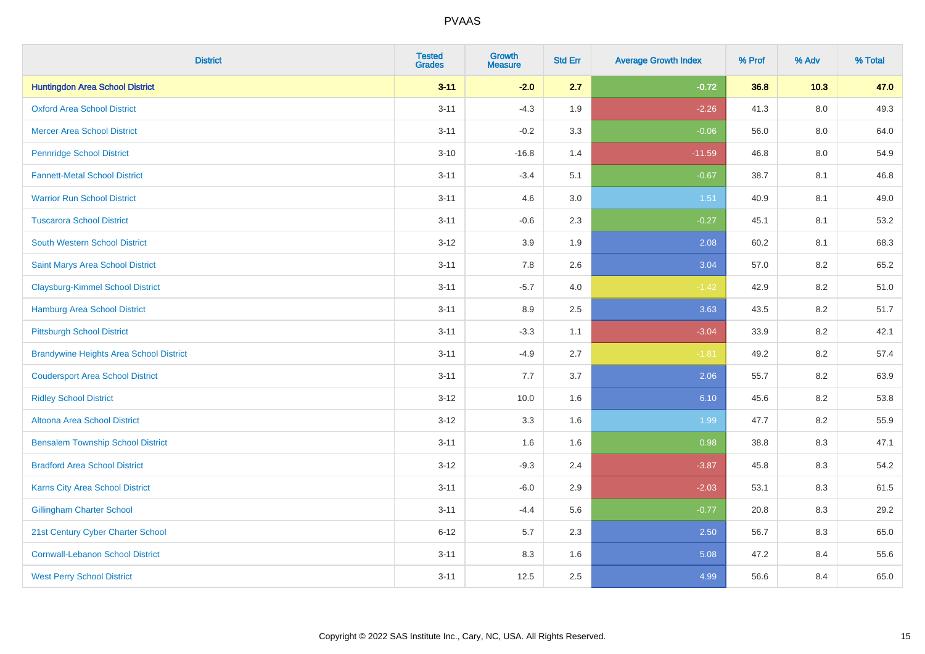| <b>District</b>                                | <b>Tested</b><br><b>Grades</b> | <b>Growth</b><br><b>Measure</b> | <b>Std Err</b> | <b>Average Growth Index</b> | % Prof | % Adv   | % Total |
|------------------------------------------------|--------------------------------|---------------------------------|----------------|-----------------------------|--------|---------|---------|
| <b>Huntingdon Area School District</b>         | $3 - 11$                       | $-2.0$                          | 2.7            | $-0.72$                     | 36.8   | 10.3    | 47.0    |
| <b>Oxford Area School District</b>             | $3 - 11$                       | $-4.3$                          | 1.9            | $-2.26$                     | 41.3   | $8.0\,$ | 49.3    |
| <b>Mercer Area School District</b>             | $3 - 11$                       | $-0.2$                          | 3.3            | $-0.06$                     | 56.0   | 8.0     | 64.0    |
| <b>Pennridge School District</b>               | $3 - 10$                       | $-16.8$                         | 1.4            | $-11.59$                    | 46.8   | $8.0\,$ | 54.9    |
| <b>Fannett-Metal School District</b>           | $3 - 11$                       | $-3.4$                          | 5.1            | $-0.67$                     | 38.7   | 8.1     | 46.8    |
| <b>Warrior Run School District</b>             | $3 - 11$                       | 4.6                             | 3.0            | 1.51                        | 40.9   | 8.1     | 49.0    |
| <b>Tuscarora School District</b>               | $3 - 11$                       | $-0.6$                          | 2.3            | $-0.27$                     | 45.1   | 8.1     | 53.2    |
| <b>South Western School District</b>           | $3-12$                         | 3.9                             | 1.9            | 2.08                        | 60.2   | 8.1     | 68.3    |
| Saint Marys Area School District               | $3 - 11$                       | 7.8                             | 2.6            | 3.04                        | 57.0   | 8.2     | 65.2    |
| <b>Claysburg-Kimmel School District</b>        | $3 - 11$                       | $-5.7$                          | 4.0            | $-1.42$                     | 42.9   | 8.2     | 51.0    |
| Hamburg Area School District                   | $3 - 11$                       | 8.9                             | 2.5            | 3.63                        | 43.5   | 8.2     | 51.7    |
| <b>Pittsburgh School District</b>              | $3 - 11$                       | $-3.3$                          | 1.1            | $-3.04$                     | 33.9   | 8.2     | 42.1    |
| <b>Brandywine Heights Area School District</b> | $3 - 11$                       | $-4.9$                          | 2.7            | $-1.81$                     | 49.2   | $8.2\,$ | 57.4    |
| <b>Coudersport Area School District</b>        | $3 - 11$                       | 7.7                             | 3.7            | 2.06                        | 55.7   | 8.2     | 63.9    |
| <b>Ridley School District</b>                  | $3-12$                         | 10.0                            | 1.6            | 6.10                        | 45.6   | 8.2     | 53.8    |
| Altoona Area School District                   | $3 - 12$                       | 3.3                             | 1.6            | 1.99                        | 47.7   | 8.2     | 55.9    |
| <b>Bensalem Township School District</b>       | $3 - 11$                       | 1.6                             | 1.6            | 0.98                        | 38.8   | 8.3     | 47.1    |
| <b>Bradford Area School District</b>           | $3-12$                         | $-9.3$                          | 2.4            | $-3.87$                     | 45.8   | 8.3     | 54.2    |
| <b>Karns City Area School District</b>         | $3 - 11$                       | $-6.0$                          | 2.9            | $-2.03$                     | 53.1   | 8.3     | 61.5    |
| <b>Gillingham Charter School</b>               | $3 - 11$                       | $-4.4$                          | 5.6            | $-0.77$                     | 20.8   | 8.3     | 29.2    |
| 21st Century Cyber Charter School              | $6 - 12$                       | 5.7                             | 2.3            | 2.50                        | 56.7   | 8.3     | 65.0    |
| <b>Cornwall-Lebanon School District</b>        | $3 - 11$                       | 8.3                             | 1.6            | 5.08                        | 47.2   | 8.4     | 55.6    |
| <b>West Perry School District</b>              | $3 - 11$                       | 12.5                            | 2.5            | 4.99                        | 56.6   | 8.4     | 65.0    |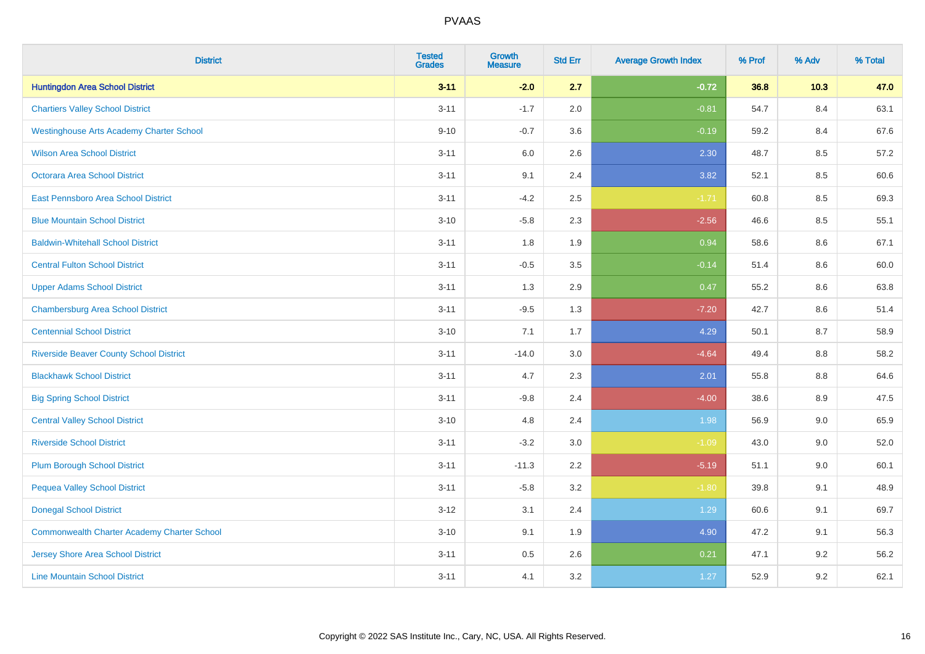| <b>District</b>                                 | <b>Tested</b><br><b>Grades</b> | <b>Growth</b><br><b>Measure</b> | <b>Std Err</b> | <b>Average Growth Index</b> | % Prof | % Adv   | % Total |
|-------------------------------------------------|--------------------------------|---------------------------------|----------------|-----------------------------|--------|---------|---------|
| <b>Huntingdon Area School District</b>          | $3 - 11$                       | $-2.0$                          | 2.7            | $-0.72$                     | 36.8   | 10.3    | 47.0    |
| <b>Chartiers Valley School District</b>         | $3 - 11$                       | $-1.7$                          | 2.0            | $-0.81$                     | 54.7   | 8.4     | 63.1    |
| <b>Westinghouse Arts Academy Charter School</b> | $9 - 10$                       | $-0.7$                          | 3.6            | $-0.19$                     | 59.2   | 8.4     | 67.6    |
| <b>Wilson Area School District</b>              | $3 - 11$                       | 6.0                             | 2.6            | 2.30                        | 48.7   | 8.5     | 57.2    |
| <b>Octorara Area School District</b>            | $3 - 11$                       | 9.1                             | 2.4            | 3.82                        | 52.1   | 8.5     | 60.6    |
| East Pennsboro Area School District             | $3 - 11$                       | $-4.2$                          | 2.5            | $-1.71$                     | 60.8   | 8.5     | 69.3    |
| <b>Blue Mountain School District</b>            | $3 - 10$                       | $-5.8$                          | 2.3            | $-2.56$                     | 46.6   | 8.5     | 55.1    |
| <b>Baldwin-Whitehall School District</b>        | $3 - 11$                       | 1.8                             | 1.9            | 0.94                        | 58.6   | 8.6     | 67.1    |
| <b>Central Fulton School District</b>           | $3 - 11$                       | $-0.5$                          | 3.5            | $-0.14$                     | 51.4   | 8.6     | 60.0    |
| <b>Upper Adams School District</b>              | $3 - 11$                       | 1.3                             | 2.9            | 0.47                        | 55.2   | 8.6     | 63.8    |
| <b>Chambersburg Area School District</b>        | $3 - 11$                       | $-9.5$                          | 1.3            | $-7.20$                     | 42.7   | 8.6     | 51.4    |
| <b>Centennial School District</b>               | $3 - 10$                       | 7.1                             | 1.7            | 4.29                        | 50.1   | 8.7     | 58.9    |
| <b>Riverside Beaver County School District</b>  | $3 - 11$                       | $-14.0$                         | 3.0            | $-4.64$                     | 49.4   | $8.8\,$ | 58.2    |
| <b>Blackhawk School District</b>                | $3 - 11$                       | 4.7                             | 2.3            | 2.01                        | 55.8   | 8.8     | 64.6    |
| <b>Big Spring School District</b>               | $3 - 11$                       | $-9.8$                          | 2.4            | $-4.00$                     | 38.6   | 8.9     | 47.5    |
| <b>Central Valley School District</b>           | $3 - 10$                       | 4.8                             | 2.4            | 1.98                        | 56.9   | 9.0     | 65.9    |
| <b>Riverside School District</b>                | $3 - 11$                       | $-3.2$                          | 3.0            | $-1.09$                     | 43.0   | 9.0     | 52.0    |
| <b>Plum Borough School District</b>             | $3 - 11$                       | $-11.3$                         | 2.2            | $-5.19$                     | 51.1   | 9.0     | 60.1    |
| <b>Pequea Valley School District</b>            | $3 - 11$                       | $-5.8$                          | 3.2            | $-1.80$                     | 39.8   | 9.1     | 48.9    |
| <b>Donegal School District</b>                  | $3 - 12$                       | 3.1                             | 2.4            | 1.29                        | 60.6   | 9.1     | 69.7    |
| Commonwealth Charter Academy Charter School     | $3 - 10$                       | 9.1                             | 1.9            | 4.90                        | 47.2   | 9.1     | 56.3    |
| <b>Jersey Shore Area School District</b>        | $3 - 11$                       | $0.5\,$                         | 2.6            | 0.21                        | 47.1   | 9.2     | 56.2    |
| <b>Line Mountain School District</b>            | $3 - 11$                       | 4.1                             | 3.2            | 1.27                        | 52.9   | 9.2     | 62.1    |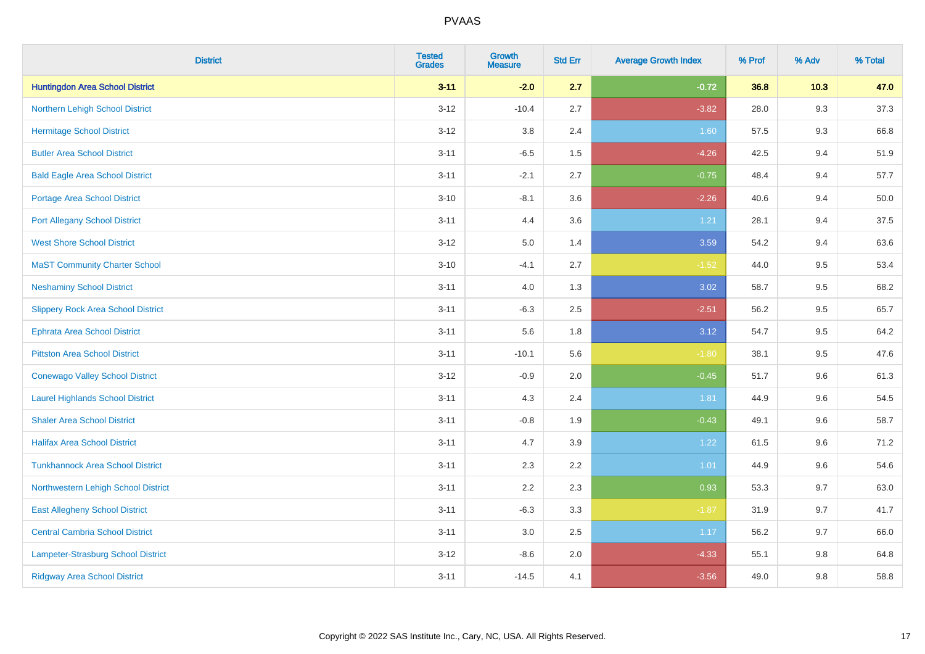| <b>District</b>                           | <b>Tested</b><br><b>Grades</b> | <b>Growth</b><br><b>Measure</b> | <b>Std Err</b> | <b>Average Growth Index</b> | % Prof | % Adv | % Total |
|-------------------------------------------|--------------------------------|---------------------------------|----------------|-----------------------------|--------|-------|---------|
| <b>Huntingdon Area School District</b>    | $3 - 11$                       | $-2.0$                          | 2.7            | $-0.72$                     | 36.8   | 10.3  | 47.0    |
| Northern Lehigh School District           | $3 - 12$                       | $-10.4$                         | 2.7            | $-3.82$                     | 28.0   | 9.3   | 37.3    |
| <b>Hermitage School District</b>          | $3 - 12$                       | 3.8                             | 2.4            | 1.60                        | 57.5   | 9.3   | 66.8    |
| <b>Butler Area School District</b>        | $3 - 11$                       | $-6.5$                          | 1.5            | $-4.26$                     | 42.5   | 9.4   | 51.9    |
| <b>Bald Eagle Area School District</b>    | $3 - 11$                       | $-2.1$                          | 2.7            | $-0.75$                     | 48.4   | 9.4   | 57.7    |
| <b>Portage Area School District</b>       | $3 - 10$                       | $-8.1$                          | 3.6            | $-2.26$                     | 40.6   | 9.4   | 50.0    |
| <b>Port Allegany School District</b>      | $3 - 11$                       | 4.4                             | 3.6            | 1.21                        | 28.1   | 9.4   | 37.5    |
| <b>West Shore School District</b>         | $3 - 12$                       | 5.0                             | 1.4            | 3.59                        | 54.2   | 9.4   | 63.6    |
| <b>MaST Community Charter School</b>      | $3 - 10$                       | $-4.1$                          | 2.7            | $-1.52$                     | 44.0   | 9.5   | 53.4    |
| <b>Neshaminy School District</b>          | $3 - 11$                       | 4.0                             | 1.3            | 3.02                        | 58.7   | 9.5   | 68.2    |
| <b>Slippery Rock Area School District</b> | $3 - 11$                       | $-6.3$                          | 2.5            | $-2.51$                     | 56.2   | 9.5   | 65.7    |
| Ephrata Area School District              | $3 - 11$                       | 5.6                             | 1.8            | 3.12                        | 54.7   | 9.5   | 64.2    |
| <b>Pittston Area School District</b>      | $3 - 11$                       | $-10.1$                         | 5.6            | $-1.80$                     | 38.1   | 9.5   | 47.6    |
| <b>Conewago Valley School District</b>    | $3 - 12$                       | $-0.9$                          | 2.0            | $-0.45$                     | 51.7   | 9.6   | 61.3    |
| <b>Laurel Highlands School District</b>   | $3 - 11$                       | 4.3                             | 2.4            | 1.81                        | 44.9   | 9.6   | 54.5    |
| <b>Shaler Area School District</b>        | $3 - 11$                       | $-0.8$                          | 1.9            | $-0.43$                     | 49.1   | 9.6   | 58.7    |
| <b>Halifax Area School District</b>       | $3 - 11$                       | 4.7                             | 3.9            | 1.22                        | 61.5   | 9.6   | 71.2    |
| <b>Tunkhannock Area School District</b>   | $3 - 11$                       | 2.3                             | 2.2            | 1.01                        | 44.9   | 9.6   | 54.6    |
| Northwestern Lehigh School District       | $3 - 11$                       | 2.2                             | 2.3            | 0.93                        | 53.3   | 9.7   | 63.0    |
| <b>East Allegheny School District</b>     | $3 - 11$                       | $-6.3$                          | 3.3            | $-1.87$                     | 31.9   | 9.7   | 41.7    |
| <b>Central Cambria School District</b>    | $3 - 11$                       | 3.0                             | 2.5            | 1.17                        | 56.2   | 9.7   | 66.0    |
| Lampeter-Strasburg School District        | $3 - 12$                       | $-8.6$                          | 2.0            | $-4.33$                     | 55.1   | 9.8   | 64.8    |
| <b>Ridgway Area School District</b>       | $3 - 11$                       | $-14.5$                         | 4.1            | $-3.56$                     | 49.0   | 9.8   | 58.8    |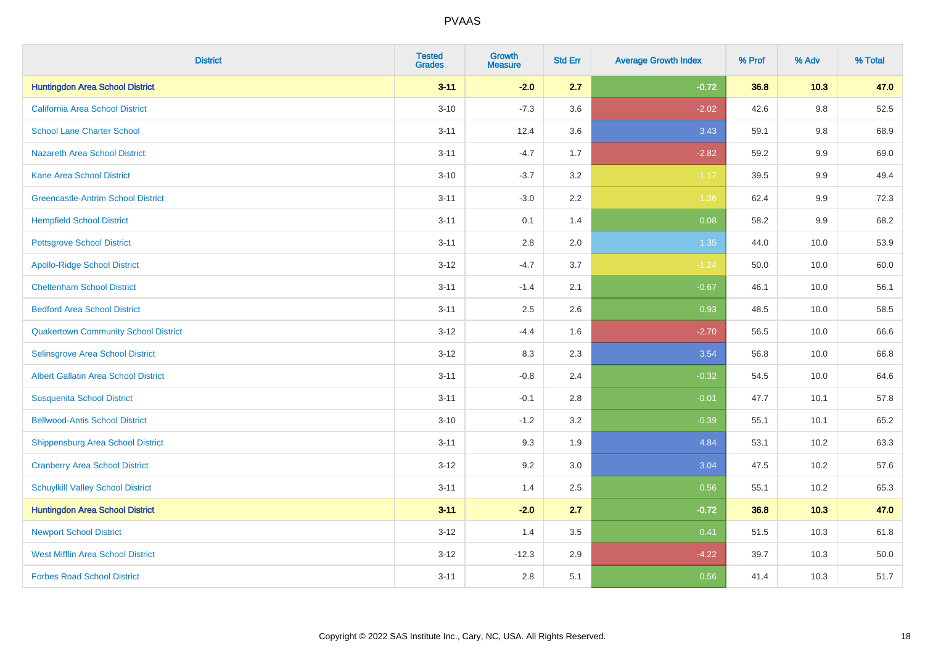| <b>District</b>                             | <b>Tested</b><br><b>Grades</b> | <b>Growth</b><br><b>Measure</b> | <b>Std Err</b> | <b>Average Growth Index</b> | % Prof | % Adv   | % Total |
|---------------------------------------------|--------------------------------|---------------------------------|----------------|-----------------------------|--------|---------|---------|
| <b>Huntingdon Area School District</b>      | $3 - 11$                       | $-2.0$                          | 2.7            | $-0.72$                     | 36.8   | 10.3    | 47.0    |
| California Area School District             | $3 - 10$                       | $-7.3$                          | 3.6            | $-2.02$                     | 42.6   | $9.8\,$ | 52.5    |
| <b>School Lane Charter School</b>           | $3 - 11$                       | 12.4                            | 3.6            | 3.43                        | 59.1   | $9.8\,$ | 68.9    |
| <b>Nazareth Area School District</b>        | $3 - 11$                       | $-4.7$                          | 1.7            | $-2.82$                     | 59.2   | 9.9     | 69.0    |
| <b>Kane Area School District</b>            | $3 - 10$                       | $-3.7$                          | 3.2            | $-1.17$                     | 39.5   | 9.9     | 49.4    |
| <b>Greencastle-Antrim School District</b>   | $3 - 11$                       | $-3.0$                          | 2.2            | $-1.36$                     | 62.4   | 9.9     | 72.3    |
| <b>Hempfield School District</b>            | $3 - 11$                       | 0.1                             | 1.4            | 0.08                        | 58.2   | 9.9     | 68.2    |
| <b>Pottsgrove School District</b>           | $3 - 11$                       | 2.8                             | 2.0            | 1.35                        | 44.0   | 10.0    | 53.9    |
| <b>Apollo-Ridge School District</b>         | $3 - 12$                       | $-4.7$                          | 3.7            | $-1.24$                     | 50.0   | 10.0    | 60.0    |
| <b>Cheltenham School District</b>           | $3 - 11$                       | $-1.4$                          | 2.1            | $-0.67$                     | 46.1   | 10.0    | 56.1    |
| <b>Bedford Area School District</b>         | $3 - 11$                       | 2.5                             | 2.6            | 0.93                        | 48.5   | 10.0    | 58.5    |
| <b>Quakertown Community School District</b> | $3 - 12$                       | $-4.4$                          | 1.6            | $-2.70$                     | 56.5   | 10.0    | 66.6    |
| Selinsgrove Area School District            | $3 - 12$                       | 8.3                             | 2.3            | 3.54                        | 56.8   | 10.0    | 66.8    |
| <b>Albert Gallatin Area School District</b> | $3 - 11$                       | $-0.8$                          | 2.4            | $-0.32$                     | 54.5   | 10.0    | 64.6    |
| <b>Susquenita School District</b>           | $3 - 11$                       | $-0.1$                          | 2.8            | $-0.01$                     | 47.7   | 10.1    | 57.8    |
| <b>Bellwood-Antis School District</b>       | $3 - 10$                       | $-1.2$                          | 3.2            | $-0.39$                     | 55.1   | 10.1    | 65.2    |
| <b>Shippensburg Area School District</b>    | $3 - 11$                       | 9.3                             | 1.9            | 4.84                        | 53.1   | 10.2    | 63.3    |
| <b>Cranberry Area School District</b>       | $3 - 12$                       | 9.2                             | 3.0            | 3.04                        | 47.5   | 10.2    | 57.6    |
| <b>Schuylkill Valley School District</b>    | $3 - 11$                       | 1.4                             | 2.5            | 0.56                        | 55.1   | 10.2    | 65.3    |
| <b>Huntingdon Area School District</b>      | $3 - 11$                       | $-2.0$                          | 2.7            | $-0.72$                     | 36.8   | 10.3    | 47.0    |
| <b>Newport School District</b>              | $3-12$                         | 1.4                             | 3.5            | 0.41                        | 51.5   | 10.3    | 61.8    |
| <b>West Mifflin Area School District</b>    | $3 - 12$                       | $-12.3$                         | 2.9            | $-4.22$                     | 39.7   | 10.3    | 50.0    |
| <b>Forbes Road School District</b>          | $3 - 11$                       | 2.8                             | 5.1            | 0.56                        | 41.4   | 10.3    | 51.7    |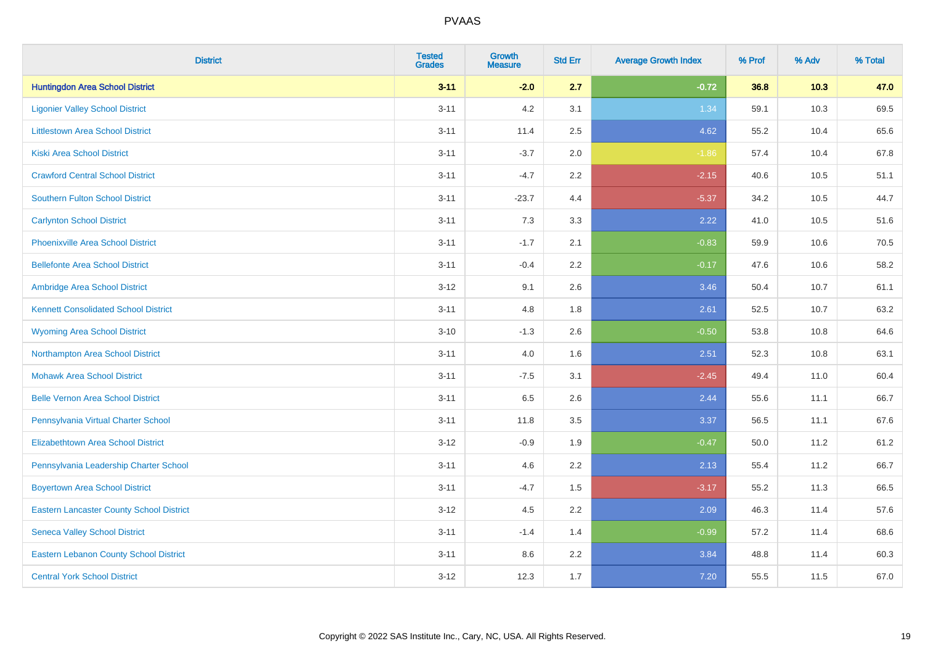| <b>District</b>                                 | <b>Tested</b><br><b>Grades</b> | <b>Growth</b><br><b>Measure</b> | <b>Std Err</b> | <b>Average Growth Index</b> | % Prof | % Adv | % Total |
|-------------------------------------------------|--------------------------------|---------------------------------|----------------|-----------------------------|--------|-------|---------|
| <b>Huntingdon Area School District</b>          | $3 - 11$                       | $-2.0$                          | 2.7            | $-0.72$                     | 36.8   | 10.3  | 47.0    |
| <b>Ligonier Valley School District</b>          | $3 - 11$                       | 4.2                             | 3.1            | 1.34                        | 59.1   | 10.3  | 69.5    |
| <b>Littlestown Area School District</b>         | $3 - 11$                       | 11.4                            | 2.5            | 4.62                        | 55.2   | 10.4  | 65.6    |
| <b>Kiski Area School District</b>               | $3 - 11$                       | $-3.7$                          | 2.0            | $-1.86$                     | 57.4   | 10.4  | 67.8    |
| <b>Crawford Central School District</b>         | $3 - 11$                       | $-4.7$                          | 2.2            | $-2.15$                     | 40.6   | 10.5  | 51.1    |
| <b>Southern Fulton School District</b>          | $3 - 11$                       | $-23.7$                         | 4.4            | $-5.37$                     | 34.2   | 10.5  | 44.7    |
| <b>Carlynton School District</b>                | $3 - 11$                       | 7.3                             | 3.3            | 2.22                        | 41.0   | 10.5  | 51.6    |
| <b>Phoenixville Area School District</b>        | $3 - 11$                       | $-1.7$                          | 2.1            | $-0.83$                     | 59.9   | 10.6  | 70.5    |
| <b>Bellefonte Area School District</b>          | $3 - 11$                       | $-0.4$                          | $2.2^{\circ}$  | $-0.17$                     | 47.6   | 10.6  | 58.2    |
| Ambridge Area School District                   | $3-12$                         | 9.1                             | 2.6            | 3.46                        | 50.4   | 10.7  | 61.1    |
| <b>Kennett Consolidated School District</b>     | $3 - 11$                       | 4.8                             | 1.8            | 2.61                        | 52.5   | 10.7  | 63.2    |
| <b>Wyoming Area School District</b>             | $3 - 10$                       | $-1.3$                          | 2.6            | $-0.50$                     | 53.8   | 10.8  | 64.6    |
| Northampton Area School District                | $3 - 11$                       | 4.0                             | 1.6            | 2.51                        | 52.3   | 10.8  | 63.1    |
| <b>Mohawk Area School District</b>              | $3 - 11$                       | $-7.5$                          | 3.1            | $-2.45$                     | 49.4   | 11.0  | 60.4    |
| <b>Belle Vernon Area School District</b>        | $3 - 11$                       | 6.5                             | 2.6            | 2.44                        | 55.6   | 11.1  | 66.7    |
| Pennsylvania Virtual Charter School             | $3 - 11$                       | 11.8                            | 3.5            | 3.37                        | 56.5   | 11.1  | 67.6    |
| <b>Elizabethtown Area School District</b>       | $3-12$                         | $-0.9$                          | 1.9            | $-0.47$                     | 50.0   | 11.2  | 61.2    |
| Pennsylvania Leadership Charter School          | $3 - 11$                       | 4.6                             | 2.2            | 2.13                        | 55.4   | 11.2  | 66.7    |
| <b>Boyertown Area School District</b>           | $3 - 11$                       | $-4.7$                          | 1.5            | $-3.17$                     | 55.2   | 11.3  | 66.5    |
| <b>Eastern Lancaster County School District</b> | $3 - 12$                       | 4.5                             | 2.2            | 2.09                        | 46.3   | 11.4  | 57.6    |
| <b>Seneca Valley School District</b>            | $3 - 11$                       | $-1.4$                          | 1.4            | $-0.99$                     | 57.2   | 11.4  | 68.6    |
| <b>Eastern Lebanon County School District</b>   | $3 - 11$                       | 8.6                             | 2.2            | 3.84                        | 48.8   | 11.4  | 60.3    |
| <b>Central York School District</b>             | $3 - 12$                       | 12.3                            | 1.7            | 7.20                        | 55.5   | 11.5  | 67.0    |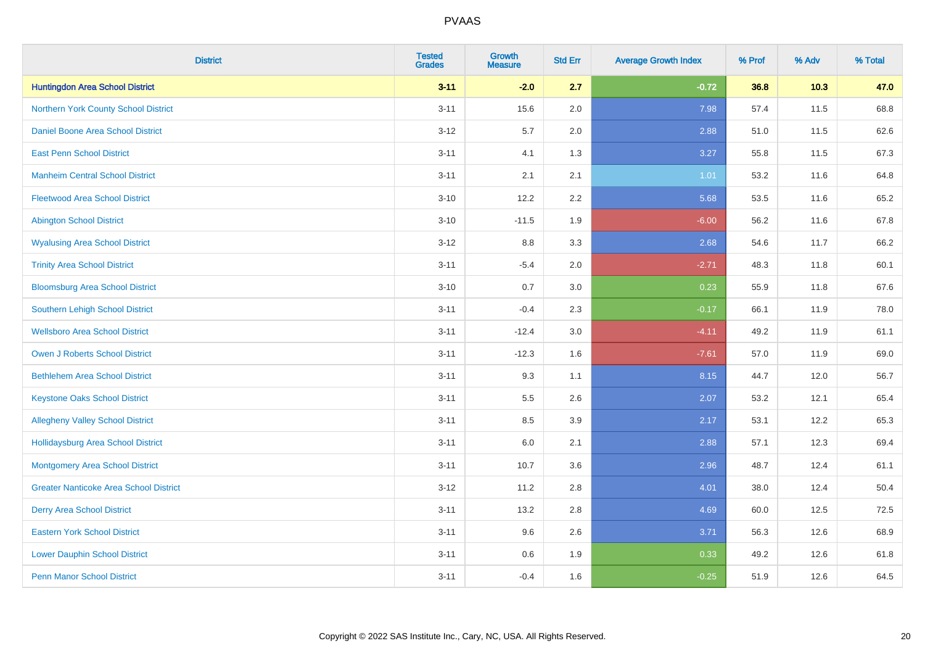| <b>District</b>                               | <b>Tested</b><br><b>Grades</b> | <b>Growth</b><br><b>Measure</b> | <b>Std Err</b> | <b>Average Growth Index</b> | % Prof | % Adv | % Total |
|-----------------------------------------------|--------------------------------|---------------------------------|----------------|-----------------------------|--------|-------|---------|
| <b>Huntingdon Area School District</b>        | $3 - 11$                       | $-2.0$                          | 2.7            | $-0.72$                     | 36.8   | 10.3  | 47.0    |
| Northern York County School District          | $3 - 11$                       | 15.6                            | 2.0            | 7.98                        | 57.4   | 11.5  | 68.8    |
| <b>Daniel Boone Area School District</b>      | $3 - 12$                       | 5.7                             | 2.0            | 2.88                        | 51.0   | 11.5  | 62.6    |
| <b>East Penn School District</b>              | $3 - 11$                       | 4.1                             | 1.3            | 3.27                        | 55.8   | 11.5  | 67.3    |
| <b>Manheim Central School District</b>        | $3 - 11$                       | 2.1                             | 2.1            | 1.01                        | 53.2   | 11.6  | 64.8    |
| <b>Fleetwood Area School District</b>         | $3 - 10$                       | 12.2                            | 2.2            | 5.68                        | 53.5   | 11.6  | 65.2    |
| <b>Abington School District</b>               | $3 - 10$                       | $-11.5$                         | 1.9            | $-6.00$                     | 56.2   | 11.6  | 67.8    |
| <b>Wyalusing Area School District</b>         | $3-12$                         | $8.8\,$                         | 3.3            | 2.68                        | 54.6   | 11.7  | 66.2    |
| <b>Trinity Area School District</b>           | $3 - 11$                       | $-5.4$                          | 2.0            | $-2.71$                     | 48.3   | 11.8  | 60.1    |
| <b>Bloomsburg Area School District</b>        | $3 - 10$                       | 0.7                             | 3.0            | 0.23                        | 55.9   | 11.8  | 67.6    |
| Southern Lehigh School District               | $3 - 11$                       | $-0.4$                          | 2.3            | $-0.17$                     | 66.1   | 11.9  | 78.0    |
| <b>Wellsboro Area School District</b>         | $3 - 11$                       | $-12.4$                         | 3.0            | $-4.11$                     | 49.2   | 11.9  | 61.1    |
| Owen J Roberts School District                | $3 - 11$                       | $-12.3$                         | 1.6            | $-7.61$                     | 57.0   | 11.9  | 69.0    |
| <b>Bethlehem Area School District</b>         | $3 - 11$                       | 9.3                             | 1.1            | 8.15                        | 44.7   | 12.0  | 56.7    |
| <b>Keystone Oaks School District</b>          | $3 - 11$                       | $5.5\,$                         | 2.6            | 2.07                        | 53.2   | 12.1  | 65.4    |
| <b>Allegheny Valley School District</b>       | $3 - 11$                       | 8.5                             | 3.9            | 2.17                        | 53.1   | 12.2  | 65.3    |
| <b>Hollidaysburg Area School District</b>     | $3 - 11$                       | 6.0                             | 2.1            | 2.88                        | 57.1   | 12.3  | 69.4    |
| Montgomery Area School District               | $3 - 11$                       | 10.7                            | 3.6            | 2.96                        | 48.7   | 12.4  | 61.1    |
| <b>Greater Nanticoke Area School District</b> | $3 - 12$                       | 11.2                            | 2.8            | 4.01                        | 38.0   | 12.4  | 50.4    |
| <b>Derry Area School District</b>             | $3 - 11$                       | 13.2                            | 2.8            | 4.69                        | 60.0   | 12.5  | 72.5    |
| <b>Eastern York School District</b>           | $3 - 11$                       | 9.6                             | 2.6            | 3.71                        | 56.3   | 12.6  | 68.9    |
| <b>Lower Dauphin School District</b>          | $3 - 11$                       | 0.6                             | 1.9            | 0.33                        | 49.2   | 12.6  | 61.8    |
| <b>Penn Manor School District</b>             | $3 - 11$                       | $-0.4$                          | 1.6            | $-0.25$                     | 51.9   | 12.6  | 64.5    |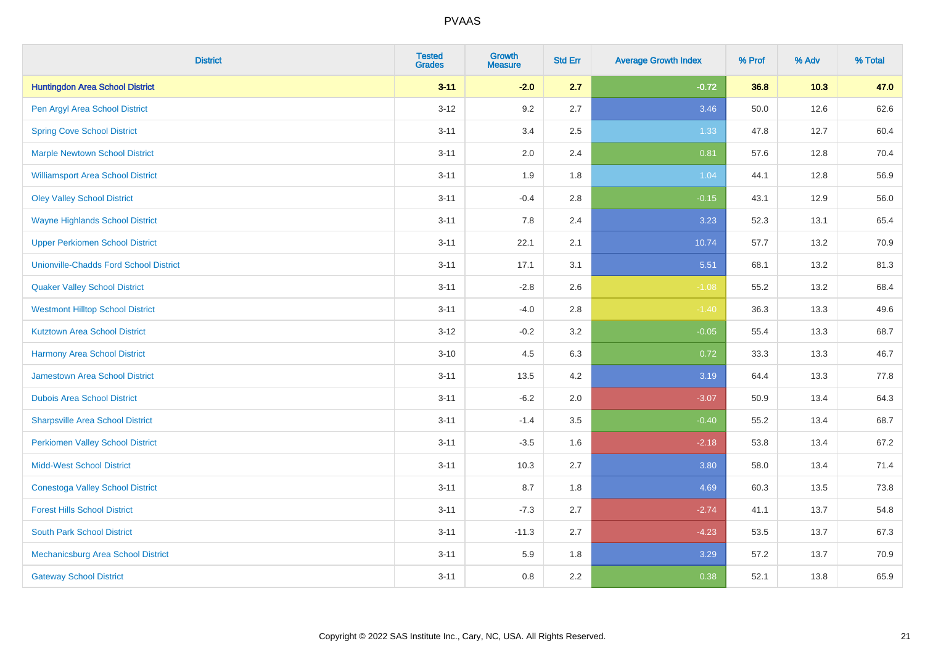| <b>District</b>                               | <b>Tested</b><br><b>Grades</b> | Growth<br><b>Measure</b> | <b>Std Err</b> | <b>Average Growth Index</b> | % Prof | % Adv | % Total |
|-----------------------------------------------|--------------------------------|--------------------------|----------------|-----------------------------|--------|-------|---------|
| <b>Huntingdon Area School District</b>        | $3 - 11$                       | $-2.0$                   | 2.7            | $-0.72$                     | 36.8   | 10.3  | 47.0    |
| Pen Argyl Area School District                | $3 - 12$                       | 9.2                      | 2.7            | 3.46                        | 50.0   | 12.6  | 62.6    |
| <b>Spring Cove School District</b>            | $3 - 11$                       | 3.4                      | 2.5            | 1.33                        | 47.8   | 12.7  | 60.4    |
| <b>Marple Newtown School District</b>         | $3 - 11$                       | 2.0                      | 2.4            | 0.81                        | 57.6   | 12.8  | 70.4    |
| <b>Williamsport Area School District</b>      | $3 - 11$                       | 1.9                      | 1.8            | 1.04                        | 44.1   | 12.8  | 56.9    |
| <b>Oley Valley School District</b>            | $3 - 11$                       | $-0.4$                   | 2.8            | $-0.15$                     | 43.1   | 12.9  | 56.0    |
| <b>Wayne Highlands School District</b>        | $3 - 11$                       | 7.8                      | 2.4            | 3.23                        | 52.3   | 13.1  | 65.4    |
| <b>Upper Perkiomen School District</b>        | $3 - 11$                       | 22.1                     | 2.1            | 10.74                       | 57.7   | 13.2  | 70.9    |
| <b>Unionville-Chadds Ford School District</b> | $3 - 11$                       | 17.1                     | 3.1            | 5.51                        | 68.1   | 13.2  | 81.3    |
| <b>Quaker Valley School District</b>          | $3 - 11$                       | $-2.8$                   | 2.6            | $-1.08$                     | 55.2   | 13.2  | 68.4    |
| <b>Westmont Hilltop School District</b>       | $3 - 11$                       | $-4.0$                   | 2.8            | $-1.40$                     | 36.3   | 13.3  | 49.6    |
| <b>Kutztown Area School District</b>          | $3-12$                         | $-0.2$                   | 3.2            | $-0.05$                     | 55.4   | 13.3  | 68.7    |
| <b>Harmony Area School District</b>           | $3 - 10$                       | 4.5                      | 6.3            | 0.72                        | 33.3   | 13.3  | 46.7    |
| Jamestown Area School District                | $3 - 11$                       | 13.5                     | 4.2            | 3.19                        | 64.4   | 13.3  | 77.8    |
| <b>Dubois Area School District</b>            | $3 - 11$                       | $-6.2$                   | 2.0            | $-3.07$                     | 50.9   | 13.4  | 64.3    |
| <b>Sharpsville Area School District</b>       | $3 - 11$                       | $-1.4$                   | 3.5            | $-0.40$                     | 55.2   | 13.4  | 68.7    |
| <b>Perkiomen Valley School District</b>       | $3 - 11$                       | $-3.5$                   | 1.6            | $-2.18$                     | 53.8   | 13.4  | 67.2    |
| <b>Midd-West School District</b>              | $3 - 11$                       | 10.3                     | 2.7            | 3.80                        | 58.0   | 13.4  | 71.4    |
| <b>Conestoga Valley School District</b>       | $3 - 11$                       | 8.7                      | 1.8            | 4.69                        | 60.3   | 13.5  | 73.8    |
| <b>Forest Hills School District</b>           | $3 - 11$                       | $-7.3$                   | 2.7            | $-2.74$                     | 41.1   | 13.7  | 54.8    |
| <b>South Park School District</b>             | $3 - 11$                       | $-11.3$                  | 2.7            | $-4.23$                     | 53.5   | 13.7  | 67.3    |
| Mechanicsburg Area School District            | $3 - 11$                       | 5.9                      | 1.8            | 3.29                        | 57.2   | 13.7  | 70.9    |
| <b>Gateway School District</b>                | $3 - 11$                       | 0.8                      | 2.2            | 0.38                        | 52.1   | 13.8  | 65.9    |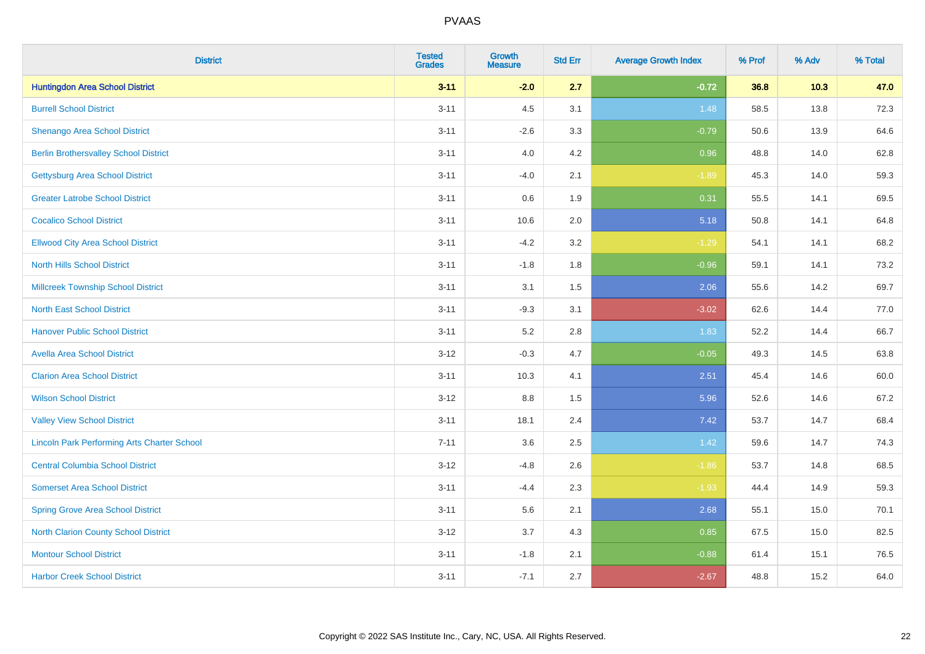| <b>District</b>                                    | <b>Tested</b><br><b>Grades</b> | <b>Growth</b><br><b>Measure</b> | <b>Std Err</b> | <b>Average Growth Index</b> | % Prof | % Adv | % Total |
|----------------------------------------------------|--------------------------------|---------------------------------|----------------|-----------------------------|--------|-------|---------|
| <b>Huntingdon Area School District</b>             | $3 - 11$                       | $-2.0$                          | 2.7            | $-0.72$                     | 36.8   | 10.3  | 47.0    |
| <b>Burrell School District</b>                     | $3 - 11$                       | 4.5                             | 3.1            | 1.48                        | 58.5   | 13.8  | 72.3    |
| Shenango Area School District                      | $3 - 11$                       | $-2.6$                          | 3.3            | $-0.79$                     | 50.6   | 13.9  | 64.6    |
| <b>Berlin Brothersvalley School District</b>       | $3 - 11$                       | 4.0                             | 4.2            | 0.96                        | 48.8   | 14.0  | 62.8    |
| <b>Gettysburg Area School District</b>             | $3 - 11$                       | $-4.0$                          | 2.1            | $-1.89$                     | 45.3   | 14.0  | 59.3    |
| <b>Greater Latrobe School District</b>             | $3 - 11$                       | 0.6                             | 1.9            | 0.31                        | 55.5   | 14.1  | 69.5    |
| <b>Cocalico School District</b>                    | $3 - 11$                       | 10.6                            | 2.0            | 5.18                        | 50.8   | 14.1  | 64.8    |
| <b>Ellwood City Area School District</b>           | $3 - 11$                       | $-4.2$                          | 3.2            | $-1.29$                     | 54.1   | 14.1  | 68.2    |
| <b>North Hills School District</b>                 | $3 - 11$                       | $-1.8$                          | 1.8            | $-0.96$                     | 59.1   | 14.1  | 73.2    |
| <b>Millcreek Township School District</b>          | $3 - 11$                       | 3.1                             | 1.5            | 2.06                        | 55.6   | 14.2  | 69.7    |
| <b>North East School District</b>                  | $3 - 11$                       | $-9.3$                          | 3.1            | $-3.02$                     | 62.6   | 14.4  | 77.0    |
| <b>Hanover Public School District</b>              | $3 - 11$                       | 5.2                             | 2.8            | 1.83                        | 52.2   | 14.4  | 66.7    |
| <b>Avella Area School District</b>                 | $3 - 12$                       | $-0.3$                          | 4.7            | $-0.05$                     | 49.3   | 14.5  | 63.8    |
| <b>Clarion Area School District</b>                | $3 - 11$                       | 10.3                            | 4.1            | 2.51                        | 45.4   | 14.6  | 60.0    |
| <b>Wilson School District</b>                      | $3-12$                         | 8.8                             | 1.5            | 5.96                        | 52.6   | 14.6  | 67.2    |
| <b>Valley View School District</b>                 | $3 - 11$                       | 18.1                            | 2.4            | 7.42                        | 53.7   | 14.7  | 68.4    |
| <b>Lincoln Park Performing Arts Charter School</b> | $7 - 11$                       | 3.6                             | 2.5            | 1.42                        | 59.6   | 14.7  | 74.3    |
| <b>Central Columbia School District</b>            | $3 - 12$                       | $-4.8$                          | 2.6            | $-1.86$                     | 53.7   | 14.8  | 68.5    |
| <b>Somerset Area School District</b>               | $3 - 11$                       | $-4.4$                          | 2.3            | $-1.93$                     | 44.4   | 14.9  | 59.3    |
| <b>Spring Grove Area School District</b>           | $3 - 11$                       | 5.6                             | 2.1            | 2.68                        | 55.1   | 15.0  | 70.1    |
| <b>North Clarion County School District</b>        | $3 - 12$                       | 3.7                             | 4.3            | 0.85                        | 67.5   | 15.0  | 82.5    |
| <b>Montour School District</b>                     | $3 - 11$                       | $-1.8$                          | 2.1            | $-0.88$                     | 61.4   | 15.1  | 76.5    |
| <b>Harbor Creek School District</b>                | $3 - 11$                       | $-7.1$                          | 2.7            | $-2.67$                     | 48.8   | 15.2  | 64.0    |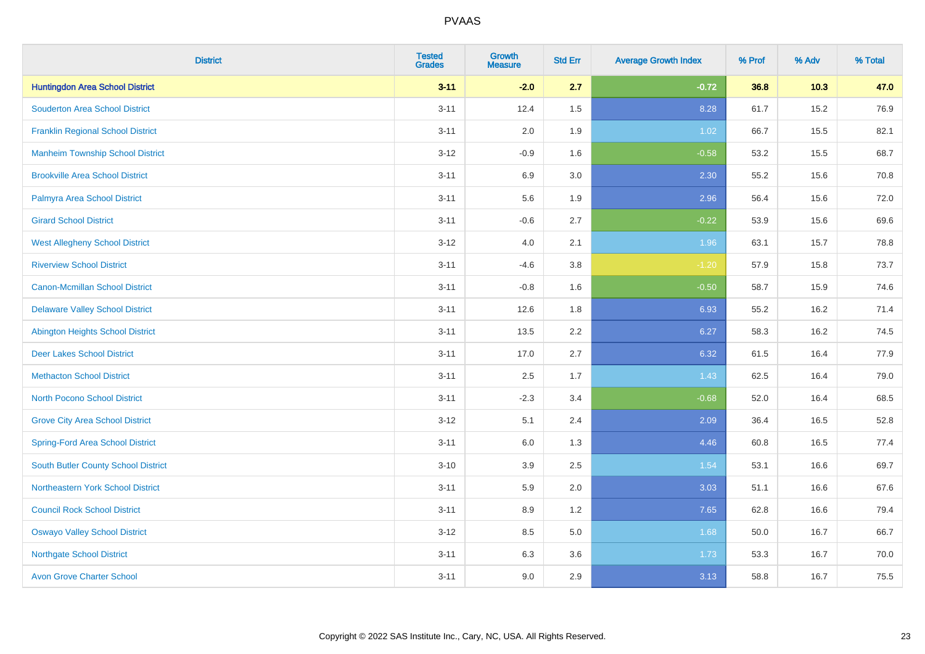| <b>District</b>                          | <b>Tested</b><br><b>Grades</b> | <b>Growth</b><br><b>Measure</b> | <b>Std Err</b> | <b>Average Growth Index</b> | % Prof | % Adv | % Total |
|------------------------------------------|--------------------------------|---------------------------------|----------------|-----------------------------|--------|-------|---------|
| <b>Huntingdon Area School District</b>   | $3 - 11$                       | $-2.0$                          | 2.7            | $-0.72$                     | 36.8   | 10.3  | 47.0    |
| <b>Souderton Area School District</b>    | $3 - 11$                       | 12.4                            | 1.5            | 8.28                        | 61.7   | 15.2  | 76.9    |
| <b>Franklin Regional School District</b> | $3 - 11$                       | 2.0                             | 1.9            | 1.02                        | 66.7   | 15.5  | 82.1    |
| <b>Manheim Township School District</b>  | $3 - 12$                       | $-0.9$                          | 1.6            | $-0.58$                     | 53.2   | 15.5  | 68.7    |
| <b>Brookville Area School District</b>   | $3 - 11$                       | 6.9                             | 3.0            | 2.30                        | 55.2   | 15.6  | 70.8    |
| Palmyra Area School District             | $3 - 11$                       | 5.6                             | 1.9            | 2.96                        | 56.4   | 15.6  | 72.0    |
| <b>Girard School District</b>            | $3 - 11$                       | $-0.6$                          | 2.7            | $-0.22$                     | 53.9   | 15.6  | 69.6    |
| <b>West Allegheny School District</b>    | $3 - 12$                       | 4.0                             | 2.1            | 1.96                        | 63.1   | 15.7  | 78.8    |
| <b>Riverview School District</b>         | $3 - 11$                       | $-4.6$                          | 3.8            | $-1.20$                     | 57.9   | 15.8  | 73.7    |
| <b>Canon-Mcmillan School District</b>    | $3 - 11$                       | $-0.8$                          | 1.6            | $-0.50$                     | 58.7   | 15.9  | 74.6    |
| <b>Delaware Valley School District</b>   | $3 - 11$                       | 12.6                            | 1.8            | 6.93                        | 55.2   | 16.2  | 71.4    |
| Abington Heights School District         | $3 - 11$                       | 13.5                            | 2.2            | 6.27                        | 58.3   | 16.2  | 74.5    |
| <b>Deer Lakes School District</b>        | $3 - 11$                       | 17.0                            | 2.7            | 6.32                        | 61.5   | 16.4  | 77.9    |
| <b>Methacton School District</b>         | $3 - 11$                       | 2.5                             | 1.7            | 1.43                        | 62.5   | 16.4  | 79.0    |
| <b>North Pocono School District</b>      | $3 - 11$                       | $-2.3$                          | 3.4            | $-0.68$                     | 52.0   | 16.4  | 68.5    |
| <b>Grove City Area School District</b>   | $3 - 12$                       | 5.1                             | 2.4            | 2.09                        | 36.4   | 16.5  | 52.8    |
| <b>Spring-Ford Area School District</b>  | $3 - 11$                       | 6.0                             | 1.3            | 4.46                        | 60.8   | 16.5  | 77.4    |
| South Butler County School District      | $3 - 10$                       | 3.9                             | 2.5            | 1.54                        | 53.1   | 16.6  | 69.7    |
| Northeastern York School District        | $3 - 11$                       | 5.9                             | 2.0            | 3.03                        | 51.1   | 16.6  | 67.6    |
| <b>Council Rock School District</b>      | $3 - 11$                       | 8.9                             | 1.2            | 7.65                        | 62.8   | 16.6  | 79.4    |
| <b>Oswayo Valley School District</b>     | $3 - 12$                       | 8.5                             | 5.0            | 1.68                        | 50.0   | 16.7  | 66.7    |
| <b>Northgate School District</b>         | $3 - 11$                       | 6.3                             | 3.6            | 1.73                        | 53.3   | 16.7  | 70.0    |
| <b>Avon Grove Charter School</b>         | $3 - 11$                       | 9.0                             | 2.9            | 3.13                        | 58.8   | 16.7  | 75.5    |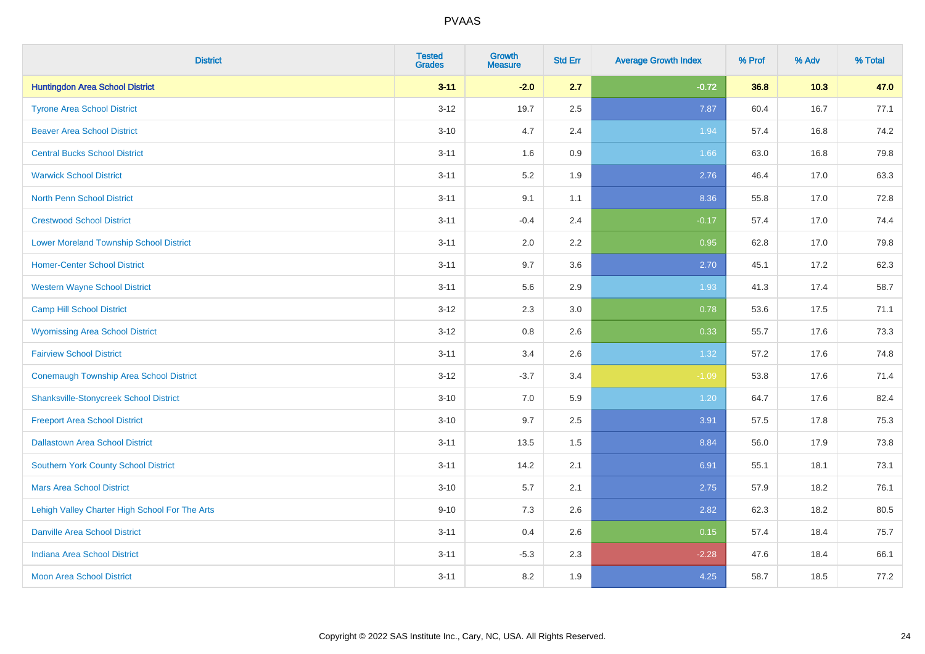| <b>District</b>                                | <b>Tested</b><br><b>Grades</b> | <b>Growth</b><br><b>Measure</b> | <b>Std Err</b> | <b>Average Growth Index</b> | % Prof | % Adv | % Total |
|------------------------------------------------|--------------------------------|---------------------------------|----------------|-----------------------------|--------|-------|---------|
| <b>Huntingdon Area School District</b>         | $3 - 11$                       | $-2.0$                          | 2.7            | $-0.72$                     | 36.8   | 10.3  | 47.0    |
| <b>Tyrone Area School District</b>             | $3-12$                         | 19.7                            | 2.5            | 7.87                        | 60.4   | 16.7  | 77.1    |
| <b>Beaver Area School District</b>             | $3 - 10$                       | 4.7                             | 2.4            | 1.94                        | 57.4   | 16.8  | 74.2    |
| <b>Central Bucks School District</b>           | $3 - 11$                       | 1.6                             | 0.9            | 1.66                        | 63.0   | 16.8  | 79.8    |
| <b>Warwick School District</b>                 | $3 - 11$                       | 5.2                             | 1.9            | 2.76                        | 46.4   | 17.0  | 63.3    |
| <b>North Penn School District</b>              | $3 - 11$                       | 9.1                             | 1.1            | 8.36                        | 55.8   | 17.0  | 72.8    |
| <b>Crestwood School District</b>               | $3 - 11$                       | $-0.4$                          | 2.4            | $-0.17$                     | 57.4   | 17.0  | 74.4    |
| <b>Lower Moreland Township School District</b> | $3 - 11$                       | 2.0                             | 2.2            | 0.95                        | 62.8   | 17.0  | 79.8    |
| <b>Homer-Center School District</b>            | $3 - 11$                       | 9.7                             | 3.6            | 2.70                        | 45.1   | 17.2  | 62.3    |
| <b>Western Wayne School District</b>           | $3 - 11$                       | 5.6                             | 2.9            | 1.93                        | 41.3   | 17.4  | 58.7    |
| <b>Camp Hill School District</b>               | $3 - 12$                       | 2.3                             | 3.0            | 0.78                        | 53.6   | 17.5  | 71.1    |
| <b>Wyomissing Area School District</b>         | $3 - 12$                       | 0.8                             | 2.6            | 0.33                        | 55.7   | 17.6  | 73.3    |
| <b>Fairview School District</b>                | $3 - 11$                       | 3.4                             | 2.6            | 1.32                        | 57.2   | 17.6  | 74.8    |
| <b>Conemaugh Township Area School District</b> | $3 - 12$                       | $-3.7$                          | 3.4            | $-1.09$                     | 53.8   | 17.6  | 71.4    |
| <b>Shanksville-Stonycreek School District</b>  | $3 - 10$                       | 7.0                             | 5.9            | 1.20                        | 64.7   | 17.6  | 82.4    |
| <b>Freeport Area School District</b>           | $3 - 10$                       | 9.7                             | 2.5            | 3.91                        | 57.5   | 17.8  | 75.3    |
| <b>Dallastown Area School District</b>         | $3 - 11$                       | 13.5                            | 1.5            | 8.84                        | 56.0   | 17.9  | 73.8    |
| <b>Southern York County School District</b>    | $3 - 11$                       | 14.2                            | 2.1            | 6.91                        | 55.1   | 18.1  | 73.1    |
| <b>Mars Area School District</b>               | $3 - 10$                       | 5.7                             | 2.1            | 2.75                        | 57.9   | 18.2  | 76.1    |
| Lehigh Valley Charter High School For The Arts | $9 - 10$                       | 7.3                             | 2.6            | 2.82                        | 62.3   | 18.2  | 80.5    |
| <b>Danville Area School District</b>           | $3 - 11$                       | 0.4                             | 2.6            | 0.15                        | 57.4   | 18.4  | 75.7    |
| <b>Indiana Area School District</b>            | $3 - 11$                       | $-5.3$                          | 2.3            | $-2.28$                     | 47.6   | 18.4  | 66.1    |
| <b>Moon Area School District</b>               | $3 - 11$                       | 8.2                             | 1.9            | 4.25                        | 58.7   | 18.5  | 77.2    |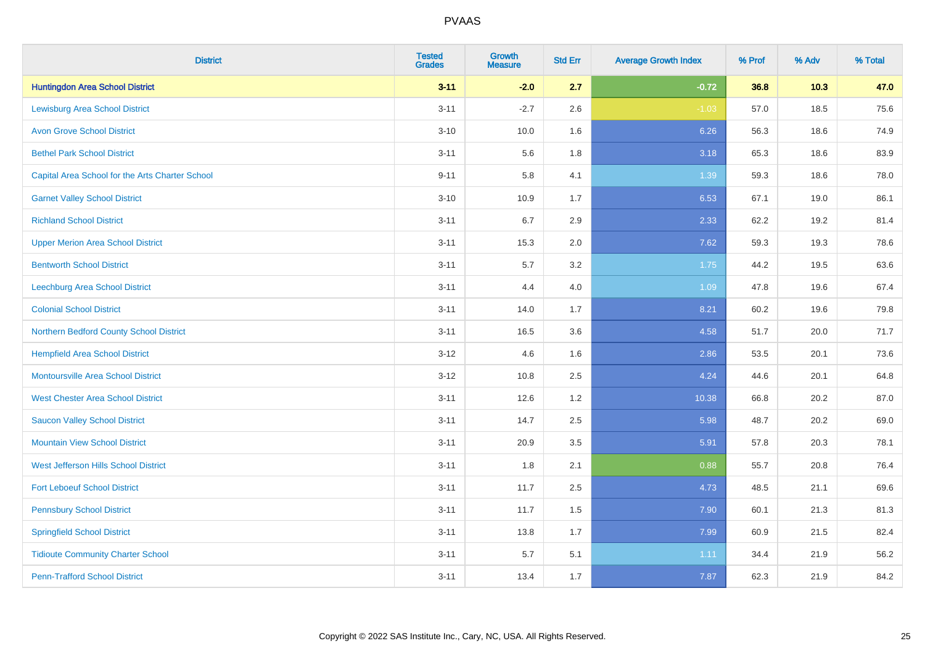| <b>District</b>                                 | <b>Tested</b><br><b>Grades</b> | Growth<br><b>Measure</b> | <b>Std Err</b> | <b>Average Growth Index</b> | % Prof | % Adv  | % Total |
|-------------------------------------------------|--------------------------------|--------------------------|----------------|-----------------------------|--------|--------|---------|
| <b>Huntingdon Area School District</b>          | $3 - 11$                       | $-2.0$                   | 2.7            | $-0.72$                     | 36.8   | $10.3$ | 47.0    |
| <b>Lewisburg Area School District</b>           | $3 - 11$                       | $-2.7$                   | 2.6            | $-1.03$                     | 57.0   | 18.5   | 75.6    |
| <b>Avon Grove School District</b>               | $3 - 10$                       | 10.0                     | 1.6            | 6.26                        | 56.3   | 18.6   | 74.9    |
| <b>Bethel Park School District</b>              | $3 - 11$                       | 5.6                      | 1.8            | 3.18                        | 65.3   | 18.6   | 83.9    |
| Capital Area School for the Arts Charter School | $9 - 11$                       | 5.8                      | 4.1            | 1.39                        | 59.3   | 18.6   | 78.0    |
| <b>Garnet Valley School District</b>            | $3 - 10$                       | 10.9                     | 1.7            | 6.53                        | 67.1   | 19.0   | 86.1    |
| <b>Richland School District</b>                 | $3 - 11$                       | 6.7                      | 2.9            | 2.33                        | 62.2   | 19.2   | 81.4    |
| <b>Upper Merion Area School District</b>        | $3 - 11$                       | 15.3                     | 2.0            | 7.62                        | 59.3   | 19.3   | 78.6    |
| <b>Bentworth School District</b>                | $3 - 11$                       | 5.7                      | 3.2            | 1.75                        | 44.2   | 19.5   | 63.6    |
| Leechburg Area School District                  | $3 - 11$                       | 4.4                      | 4.0            | 1.09                        | 47.8   | 19.6   | 67.4    |
| <b>Colonial School District</b>                 | $3 - 11$                       | 14.0                     | 1.7            | 8.21                        | 60.2   | 19.6   | 79.8    |
| Northern Bedford County School District         | $3 - 11$                       | 16.5                     | 3.6            | 4.58                        | 51.7   | 20.0   | 71.7    |
| <b>Hempfield Area School District</b>           | $3 - 12$                       | 4.6                      | 1.6            | 2.86                        | 53.5   | 20.1   | 73.6    |
| <b>Montoursville Area School District</b>       | $3-12$                         | 10.8                     | 2.5            | 4.24                        | 44.6   | 20.1   | 64.8    |
| <b>West Chester Area School District</b>        | $3 - 11$                       | 12.6                     | 1.2            | 10.38                       | 66.8   | 20.2   | 87.0    |
| <b>Saucon Valley School District</b>            | $3 - 11$                       | 14.7                     | 2.5            | 5.98                        | 48.7   | 20.2   | 69.0    |
| <b>Mountain View School District</b>            | $3 - 11$                       | 20.9                     | 3.5            | 5.91                        | 57.8   | 20.3   | 78.1    |
| West Jefferson Hills School District            | $3 - 11$                       | 1.8                      | 2.1            | 0.88                        | 55.7   | 20.8   | 76.4    |
| <b>Fort Leboeuf School District</b>             | $3 - 11$                       | 11.7                     | 2.5            | 4.73                        | 48.5   | 21.1   | 69.6    |
| <b>Pennsbury School District</b>                | $3 - 11$                       | 11.7                     | 1.5            | 7.90                        | 60.1   | 21.3   | 81.3    |
| <b>Springfield School District</b>              | $3 - 11$                       | 13.8                     | 1.7            | 7.99                        | 60.9   | 21.5   | 82.4    |
| <b>Tidioute Community Charter School</b>        | $3 - 11$                       | 5.7                      | 5.1            | 1.11                        | 34.4   | 21.9   | 56.2    |
| <b>Penn-Trafford School District</b>            | $3 - 11$                       | 13.4                     | 1.7            | 7.87                        | 62.3   | 21.9   | 84.2    |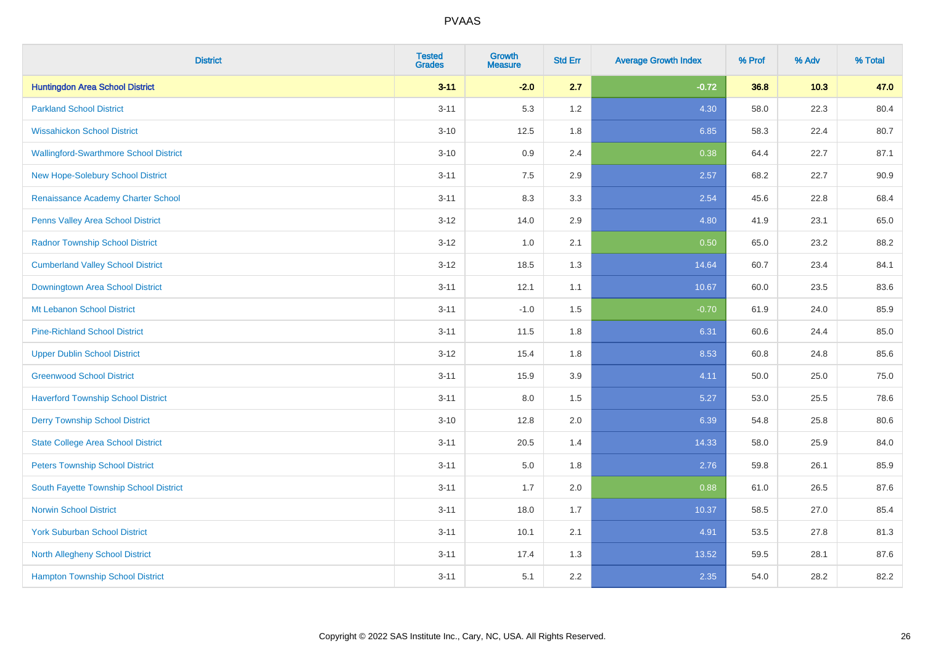| <b>District</b>                               | <b>Tested</b><br><b>Grades</b> | <b>Growth</b><br><b>Measure</b> | <b>Std Err</b> | <b>Average Growth Index</b> | % Prof | % Adv | % Total |
|-----------------------------------------------|--------------------------------|---------------------------------|----------------|-----------------------------|--------|-------|---------|
| <b>Huntingdon Area School District</b>        | $3 - 11$                       | $-2.0$                          | 2.7            | $-0.72$                     | 36.8   | 10.3  | 47.0    |
| <b>Parkland School District</b>               | $3 - 11$                       | 5.3                             | 1.2            | 4.30                        | 58.0   | 22.3  | 80.4    |
| <b>Wissahickon School District</b>            | $3 - 10$                       | 12.5                            | 1.8            | 6.85                        | 58.3   | 22.4  | 80.7    |
| <b>Wallingford-Swarthmore School District</b> | $3 - 10$                       | 0.9                             | 2.4            | 0.38                        | 64.4   | 22.7  | 87.1    |
| <b>New Hope-Solebury School District</b>      | $3 - 11$                       | 7.5                             | 2.9            | 2.57                        | 68.2   | 22.7  | 90.9    |
| Renaissance Academy Charter School            | $3 - 11$                       | 8.3                             | 3.3            | 2.54                        | 45.6   | 22.8  | 68.4    |
| Penns Valley Area School District             | $3 - 12$                       | 14.0                            | 2.9            | 4.80                        | 41.9   | 23.1  | 65.0    |
| <b>Radnor Township School District</b>        | $3 - 12$                       | 1.0                             | 2.1            | 0.50                        | 65.0   | 23.2  | 88.2    |
| <b>Cumberland Valley School District</b>      | $3 - 12$                       | 18.5                            | 1.3            | 14.64                       | 60.7   | 23.4  | 84.1    |
| Downingtown Area School District              | $3 - 11$                       | 12.1                            | 1.1            | 10.67                       | 60.0   | 23.5  | 83.6    |
| Mt Lebanon School District                    | $3 - 11$                       | $-1.0$                          | 1.5            | $-0.70$                     | 61.9   | 24.0  | 85.9    |
| <b>Pine-Richland School District</b>          | $3 - 11$                       | 11.5                            | 1.8            | 6.31                        | 60.6   | 24.4  | 85.0    |
| <b>Upper Dublin School District</b>           | $3 - 12$                       | 15.4                            | 1.8            | 8.53                        | 60.8   | 24.8  | 85.6    |
| <b>Greenwood School District</b>              | $3 - 11$                       | 15.9                            | 3.9            | 4.11                        | 50.0   | 25.0  | 75.0    |
| <b>Haverford Township School District</b>     | $3 - 11$                       | 8.0                             | 1.5            | 5.27                        | 53.0   | 25.5  | 78.6    |
| <b>Derry Township School District</b>         | $3 - 10$                       | 12.8                            | 2.0            | 6.39                        | 54.8   | 25.8  | 80.6    |
| <b>State College Area School District</b>     | $3 - 11$                       | 20.5                            | 1.4            | 14.33                       | 58.0   | 25.9  | 84.0    |
| <b>Peters Township School District</b>        | $3 - 11$                       | 5.0                             | 1.8            | 2.76                        | 59.8   | 26.1  | 85.9    |
| South Fayette Township School District        | $3 - 11$                       | 1.7                             | 2.0            | 0.88                        | 61.0   | 26.5  | 87.6    |
| <b>Norwin School District</b>                 | $3 - 11$                       | 18.0                            | 1.7            | 10.37                       | 58.5   | 27.0  | 85.4    |
| <b>York Suburban School District</b>          | $3 - 11$                       | 10.1                            | 2.1            | 4.91                        | 53.5   | 27.8  | 81.3    |
| North Allegheny School District               | $3 - 11$                       | 17.4                            | 1.3            | 13.52                       | 59.5   | 28.1  | 87.6    |
| <b>Hampton Township School District</b>       | $3 - 11$                       | 5.1                             | 2.2            | 2.35                        | 54.0   | 28.2  | 82.2    |